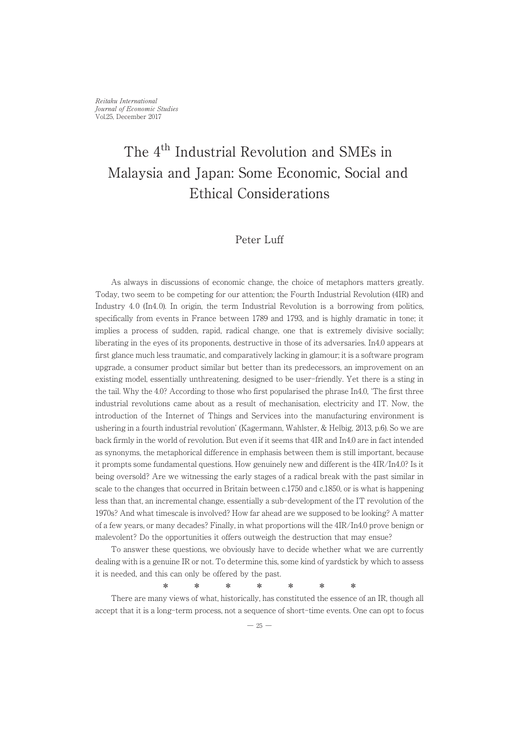# The 4th Industrial Revolution and SMEs in Malaysia and Japan: Some Economic, Social and Ethical Considerations

### Peter Luff

As always in discussions of economic change, the choice of metaphors matters greatly. Today, two seem to be competing for our attention; the Fourth Industrial Revolution (4IR) and Industry 4.0 (In4.0). In origin, the term Industrial Revolution is a borrowing from politics, specifically from events in France between 1789 and 1793, and is highly dramatic in tone; it implies a process of sudden, rapid, radical change, one that is extremely divisive socially; liberating in the eyes of its proponents, destructive in those of its adversaries. In4.0 appears at first glance much less traumatic, and comparatively lacking in glamour; it is a software program upgrade, a consumer product similar but better than its predecessors, an improvement on an existing model, essentially unthreatening, designed to be user-friendly. Yet there is a sting in the tail. Why the 4.0? According to those who first popularised the phrase In4.0, ʻThe first three ine tan, why the 4.0: According to those who instrpopularised the phrase in4.0, The first three<br>industrial revolutions came about as a result of mechanisation, electricity and IT. Now, the introduction of the Internet of Things and Services into the manufacturing environment is ushering in a fourth industrial revolution' (Kagermann, Wahlster, & Helbig, 2013, p.6). So we are back firmly in the world of revolution. But even if it seems that 4IR and In4.0 are in fact intended as synonyms, the metaphorical difference in emphasis between them is still important, because as synonyms, the metapholical difference in emphasis between them is summiportant, because<br>it prompts some fundamental questions. How genuinely new and different is the 4IR/In4.0? Is it being oversold? Are we witnessing the early stages of a radical break with the past similar in scale to the changes that occurred in Britain between c.1750 and c.1850, or is what is happening less than that, an incremental change, essentially a sub-development of the IT revolution of the 1970s? And what timescale is involved? How far ahead are we supposed to be looking? A matter of a few years, or many decades? Finally, in what proportions will the 4IR/In4.0 prove benign or or a few years, or many decades: Finany, in what proportions will the 4no m-to prove malevolent? Do the opportunities it offers outweigh the destruction that may ensue?

To answer these questions, we obviously have to decide whether what we are currently dealing with is a genuine IR or not. To determine this, some kind of yardstick by which to assess dealing with is a genuine in or not. To determine this, some kind or yardsuck<br>it is needed, and this can only be offered by the past.

There are many views of what, historically, has constituted the essence of an IR, though all accept that it is a long-term process, not a sequence of short-time events. One can opt to focus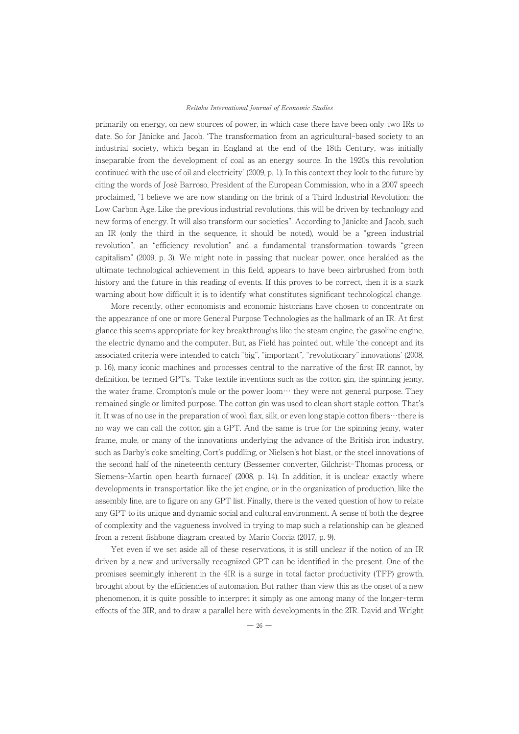primarily on energy, on new sources of power, in which case there have been only two IRs to date. So for Jänicke and Jacob, ʻThe transformation from an agricultural-based society to an industrial society, which began in England at the end of the 18th Century, was initially inseparable from the development of coal as an energy source. In the 1920s this revolution continued with the use of oil and electricity' (2009, p. 1). In this context they look to the future by citing the words of José Barroso, President of the European Commission, who in a 2007 speech proclaimed, "I believe we are now standing on the brink of a Third Industrial Revolution: the Low Carbon Age. Like the previous industrial revolutions, this will be driven by technology and new forms of energy. It will also transform our societies". According to Jänicke and Jacob, such an IR (only the third in the sequence, it should be noted), would be a "green industrial revolution", an "efficiency revolution" and a fundamental transformation towards "green capitalism" (2009, p. 3). We might note in passing that nuclear power, once heralded as the ultimate technological achievement in this field, appears to have been airbrushed from both history and the future in this reading of events. If this proves to be correct, then it is a stark mstory and the future in this reading of events. It this proves to be correct, then it is a stark<br>warning about how difficult it is to identify what constitutes significant technological change.

mig about now unneut it is to identify what constitutes significant technological change.<br>More recently, other economists and economic historians have chosen to concentrate on the appearance of one or more General Purpose Technologies as the hallmark of an IR. At first glance this seems appropriate for key breakthroughs like the steam engine, the gasoline engine, grance this seems appropriate for key breakthroughs like the steam engine, the gasoline engine,<br>the electric dynamo and the computer. But, as Field has pointed out, while 'the concept and its associated criteria were intended to catch "big", "important", "revolutionary" innovations' (2008, p. 16), many iconic machines and processes central to the narrative of the first IR cannot, by definition, be termed GPTs. ʻTake textile inventions such as the cotton gin, the spinning jenny, definition, be termed of 1s. Take textile inventions such as the cotton gin, the spinning jemry,<br>the water frame, Crompton's mule or the power loom… they were not general purpose. They remained single or limited purpose. The cotton gin was used to clean short staple cotton. That's it. It was of no use in the preparation of wool, flax, silk, or even long staple cotton fibers…there is no way we can call the cotton gin a GPT. And the same is true for the spinning jenny, water frame, mule, or many of the innovations underlying the advance of the British iron industry, water such as Darby's coke smelting, Cort's puddling, or Nielsen's hot blast, or the steel innovations of the second half of the nineteenth century (Bessemer converter, Gilchrist-Thomas process, or Siemens-Martin open hearth furnace)' (2008, p. 14). In addition, it is unclear exactly where developments in transportation like the jet engine, or in the organization of production, like the assembly line, are to figure on any GPT list. Finally, there is the vexed question of how to relate assembly line, are to lighte on any GFT list. Finally, there is the vexed question of how to relate<br>any GPT to its unique and dynamic social and cultural environment. A sense of both the degree any on 1 to its unique and dynamic social and cultural environment. A sense of both the degree<br>of complexity and the vagueness involved in trying to map such a relationship can be gleaned from a recent fishbone diagram created by Mario Coccia (2017, p. 9).

Yet even if we set aside all of these reservations, it is still unclear if the notion of an IR driven by a new and universally recognized GPT can be identified in the present. One of the promises seemingly inherent in the 4IR is a surge in total factor productivity (TFP) growth, brought about by the efficiencies of automation. But rather than view this as the onset of a new phenomenon, it is quite possible to interpret it simply as one among many of the longer-term effects of the 3IR, and to draw a parallel here with developments in the 2IR. David and Wright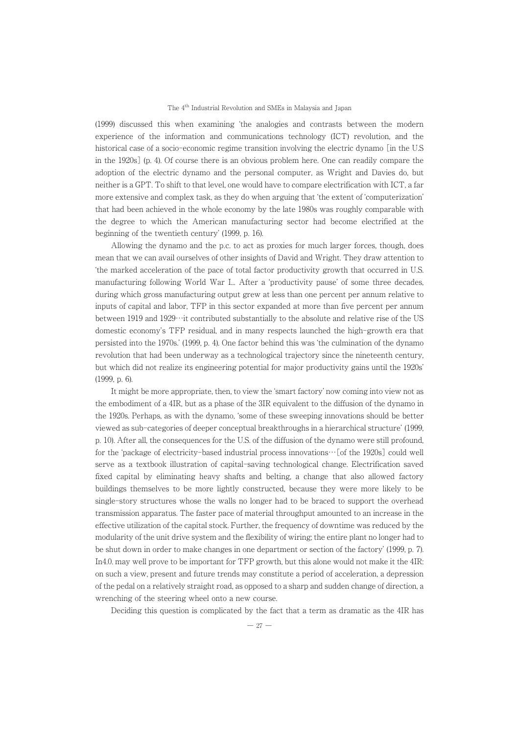(1999) discussed this when examining ʻthe analogies and contrasts between the modern experience of the information and communications technology (ICT) revolution, and the historical case of a socio-economic regime transition involving the electric dynamo [in the U.S in the 1920s] (p. 4). Of course there is an obvious problem here. One can readily compare the adoption of the electric dynamo and the personal computer, as Wright and Davies do, but adoption of the electric dynamo and the personal computer, as wright and Davies do, but<br>neither is a GPT. To shift to that level, one would have to compare electrification with ICT, a far mentier is a Gr 1. To simit to that level, one would have to compare electrification with IC 1, a far<br>more extensive and complex task, as they do when arguing that 'the extent of 'computerization' that had been achieved in the whole economy by the late 1980s was roughly comparable with the degree to which the American manufacturing sector had become electrified at the beginning of the twentieth century' (1999, p. 16).

Allowing the twentieth century (1999, p. 10).<br>Allowing the dynamo and the p.c. to act as proxies for much larger forces, though, does mean that we can avail ourselves of other insights of David and Wright. They draw attention to ʻthe marked acceleration of the pace of total factor productivity growth that occurred in U.S. manufacturing following World War I... After a 'productivity pause' of some three decades,<br>manufacturing following World War I... After a 'productivity pause' of some three decades, during which gross manufacturing output grew at less than one percent per annum relative to inputs of capital and labor, TFP in this sector expanded at more than five percent per annum between 1919 and 1929…it contributed substantially to the absolute and relative rise of the US domestic economy's TFP residual, and in many respects launched the high-growth era that persisted into the 1970s.' (1999, p. 4). One factor behind this was ʻthe culmination of the dynamo revolution that had been underway as a technological trajectory since the nineteenth century, but which did not realize its engineering potential for major productivity gains until the 1920s' (1999, p. 6).

It might be more appropriate, then, to view the ʻsmart factory' now coming into view not as It might be more appropriate, then, to view the sinart factory now coming moview not as<br>the embodiment of a 4IR, but as a phase of the 3IR equivalent to the diffusion of the dynamo in the 1920s. Perhaps, as with the dynamo, ʻsome of these sweeping innovations should be better viewed as sub-categories of deeper conceptual breakthroughs in a hierarchical structure' (1999, p. 10). After all, the consequences for the U.S. of the diffusion of the dynamo were still profound, for the ʻpackage of electricity-based industrial process innovations…[of the 1920s] could well serve as a textbook illustration of capital-saving technological change. Electrification saved fixed capital by eliminating heavy shafts and belting, a change that also allowed factory buildings themselves to be more lightly constructed, because they were more likely to be single-story structures whose the walls no longer had to be braced to support the overhead transmission apparatus. The faster pace of material throughput amounted to an increase in the effective utilization of the capital stock. Further, the frequency of downtime was reduced by the modularity of the unit drive system and the flexibility of wiring; the entire plant no longer had to be shut down in order to make changes in one department or section of the factory' (1999, p. 7). In4.0. may well prove to be important for TFP growth, but this alone would not make it the 4IR: on such a view, present and future trends may constitute a period of acceleration, a depression on such a view, present and nume trends may constitute a period or acceleration, a depression<br>of the pedal on a relatively straight road, as opposed to a sharp and sudden change of direction, a or the pedal on a relatively straight road, as opposed to a new course.

noting or the steering wheer onto a new course.<br>Deciding this question is complicated by the fact that a term as dramatic as the 4IR has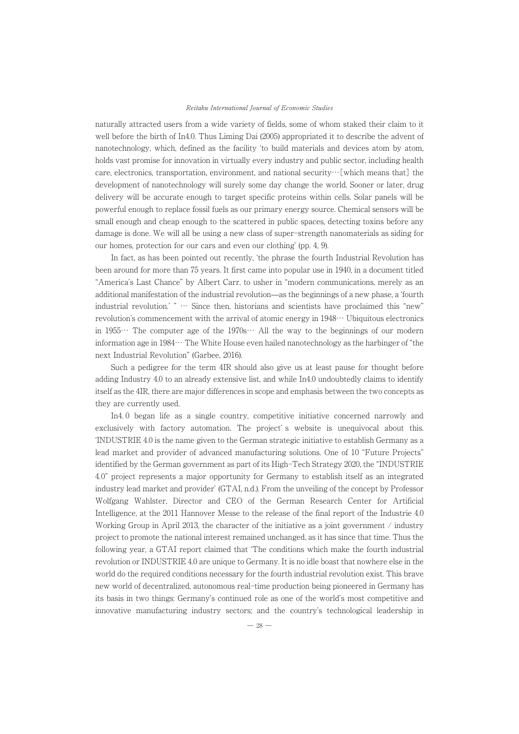naturally attracted users from a wide variety of fields, some of whom staked their claim to it well before the birth of In4.0. Thus Liming Dai (2005) appropriated it to describe the advent of wen before the birth of first, thus Elming Dai (2000) appropriated it to describe the advent of nanotechnology, which, defined as the facility 'to build materials and devices atom by atom, haholechhology, which, defined as the facinty to bund materials and devices atom by atom,<br>holds vast promise for innovation in virtually every industry and public sector, including health care, electronics, transportation, environment, and national security…[which means that] the development of nanotechnology will surely some day change the world. Sooner or later, drug development of nanotechnology will surely some day change the world, sooner of later, drug<br>delivery will be accurate enough to target specific proteins within cells. Solar panels will be powerful enough to replace fossil fuels as our primary energy source. Chemical sensors will be powerful enough to replace fossil fuels as our primary energy source. Cheffical sensors will be<br>small enough and cheap enough to the scattered in public spaces, detecting toxins before any sman enough and cheap enough to the scattered in public spaces, detecting toxins before any<br>damage is done. We will all be using a new class of super-strength nanomaterials as siding for our homes, protection for our cars and even our clothing' (pp. 4, 9).

In fact, as has been pointed out recently, 'the phrase the fourth Industrial Revolution has been around for more than 75 years. It first came into popular use in 1940, in a document titled been around for more than 15 years. It first came mo popular use in 1940, in a document thed<br>"America's Last Chance" by Albert Carr, to usher in "modern communications, merely as an America's Last Chance by American, to usher in modern communications, merely as an additional manifestation of the industrial revolution—as the beginnings of a new phase, a 'fourth industrial revolution.' " … Since then, historians and scientists have proclaimed this "new" revolution's commencement with the arrival of atomic energy in 1948… Ubiquitous electronics in 1955… The computer age of the 1970s… All the way to the beginnings of our modern information age in 1984… The White House even hailed nanotechnology as the harbinger of "the next Industrial Revolution" (Garbee, 2016).

Such a pedigree for the term 4IR should also give us at least pause for thought before adding Industry 4.0 to an already extensive list, and while In4.0 undoubtedly claims to identify itself as the 4IR, there are major differences in scope and emphasis between the two concepts as they are currently used.<br>they are currently used.

In4. 0 began life as a single country, competitive initiative concerned narrowly and metric began me as a single country, competitive initiative concerned narrowly and<br>exclusively with factory automation. The project's website is unequivocal about this. ʻINDUSTRIE 4.0 is the name given to the German strategic initiative to establish Germany as a lead market and provider of advanced manufacturing solutions. One of 10 "Future Projects" identified by the German government as part of its High-Tech Strategy 2020, the "INDUSTRIE dentified by the German government as part of its riight recirculategy 2020, the involusions.<br>4.0" project represents a major opportunity for Germany to establish itself as an integrated industry lead market and provider' (GTAI, n.d.). From the unveiling of the concept by Professor Wolfgang Wahlster, Director and CEO of the German Research Center for Artificial Intelligence, at the 2011 Hannover Messe to the release of the final report of the Industrie 4.0 Working Group in April 2013, the character of the initiative as a joint government / industry project to promote the national interest remained unchanged, as it has since that time. Thus the project to promote the national interest remained unchanged, as it has since that time. Thus the project to promote the national interest remained unchanged, as it has since that time. Thus the<br>following year, a GTAI report claimed that 'The conditions which make the fourth industrial revolution or INDUSTRIE 4.0 are unique to Germany. It is no idle boast that nowhere else in the world do the required conditions necessary for the fourth industrial revolution exist. This brave world do the required conditions necessary for the fourth mudistrial revolution exist. This brave<br>new world of decentralized, autonomous real-time production being pioneered in Germany has its basis in two things: Germany's continued role as one of the world's most competitive and its basis in two timigs, derinary s continued role as one or the world's most competitive and<br>innovative manufacturing industry sectors; and the country's technological leadership in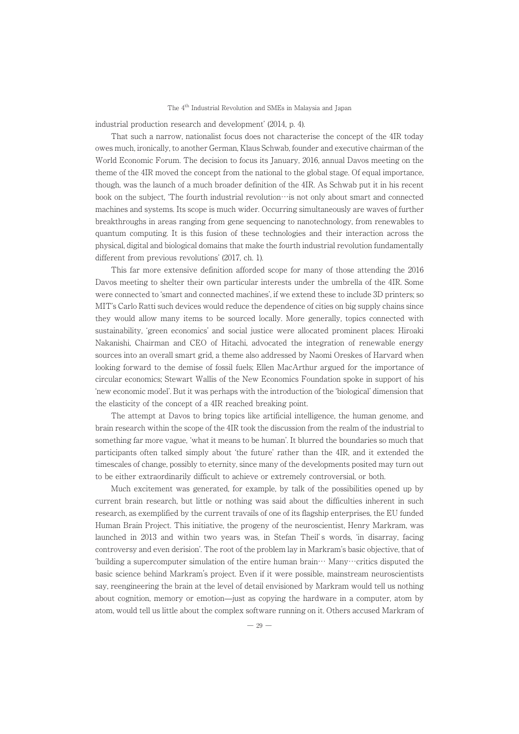industrial production research and development' (2014, p. 4).

Strial production research and development (2014, p. 4).<br>That such a narrow, nationalist focus does not characterise the concept of the 4IR today owes much, ironically, to another German, Klaus Schwab, founder and executive chairman of the owes much, if oncally, to another German, Kraus Schwab, founder and executive chairman of the<br>World Economic Forum. The decision to focus its January, 2016, annual Davos meeting on the theme of the 4IR moved the concept from the national to the global stage. Of equal importance, though, was the launch of a much broader definition of the 4IR. As Schwab put it in his recent book on the subject, 'The fourth industrial revolution…is not only about smart and connected book on the subject, 'The fourth industrial revolution…is not only about smart and connected machines and systems. Its scope is much wider. Occurring simultaneously are waves of further breakthroughs in areas ranging from gene sequencing to nanotechnology, from renewables to preakunoughs in areas ranging from gene sequenting to nanotechnology, from reflewables to<br>quantum computing. It is this fusion of these technologies and their interaction across the physical, digital and biological domains that make the fourth industrial revolution fundamentally different from previous revolutions' (2017, ch. 1).

This far more extensive definition afforded scope for many of those attending the 2016 Davos meeting to shelter their own particular interests under the umbrella of the 4IR. Some were connected to ʻsmart and connected machines', if we extend these to include 3D printers; so were connected to smart and connected machines, if we extend these to include 3D primers, so<br>MIT's Carlo Ratti such devices would reduce the dependence of cities on big supply chains since they would allow many items to be sourced locally. More generally, topics connected with sustainability, ʻgreen economics' and social justice were allocated prominent places: Hiroaki Nakanishi, Chairman and CEO of Hitachi, advocated the integration of renewable energy sources into an overall smart grid, a theme also addressed by Naomi Oreskes of Harvard when sources into an overall sinart grid, a theme also addressed by ivability orestes of rial varia when<br>looking forward to the demise of fossil fuels; Ellen MacArthur argued for the importance of circular economics; Stewart Wallis of the New Economics Foundation spoke in support of his ʻnew economic model'. But it was perhaps with the introduction of the ʻbiological' dimension that the elasticity of the concept of a 4IR reached breaking point.

The attempt at Davos to bring topics like artificial intelligence, the human genome, and I he attempt at Davos to bring topics like at uncial intemgence, the human genome, and<br>brain research within the scope of the 4IR took the discussion from the realm of the industrial to something far more vague, ʻwhat it means to be human'. It blurred the boundaries so much that participants often talked simply about 'the future' rather than the 4IR, and it extended the participants often talked simply about 'the future' rather than the 4IR, and it extended the participants often talked simply about the future Tather than the 4nx, and it extended the<br>timescales of change, possibly to eternity, since many of the developments posited may turn out threscales of change, possibly to eternity, since many of the developments posited in

Much excitement was generated, for example, by talk of the possibilities opened up by much exchement was generated, for example, by take or the possibilities opened up by<br>current brain research, but little or nothing was said about the difficulties inherent in such research, as exemplified by the current travails of one of its flagship enterprises, the EU funded Human Brain Project. This initiative, the progeny of the neuroscientist, Henry Markram, was launched in 2013 and within two years was, in Stefan Theil' s words, ʻin disarray, facing controversy and even derision'. The root of the problem lay in Markram's basic objective, that of ʻbuilding a supercomputer simulation of the entire human brain… Many…critics disputed the basic science behind Markram's project. Even if it were possible, mainstream neuroscientists pasic science bening markrain's project. Even if it were possible, mainstream neuroscientists<br>say, reengineering the brain at the level of detail envisioned by Markram would tell us nothing say, reengineering the brain at the level of detail envisioned by Markrain would ten us houning<br>about cognition, memory or emotion—just as copying the hardware in a computer, atom by atom, would tell us little about the complex software running on it. Others accused Markram of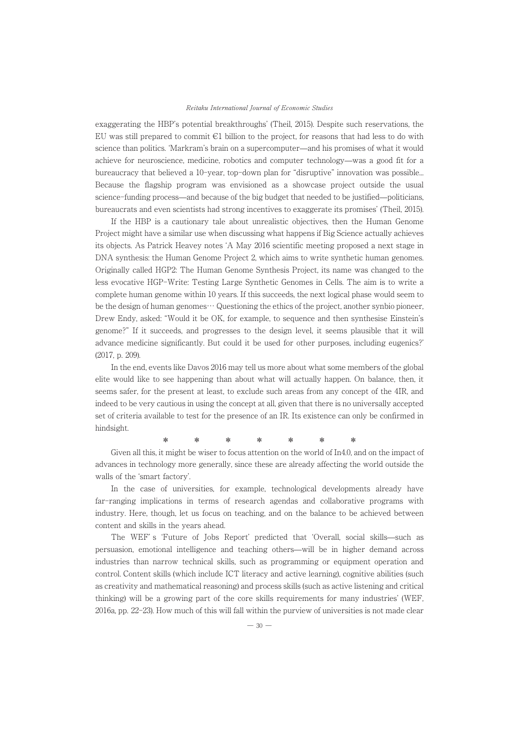exaggerating the HBP's potential breakthroughs' (Theil, 2015). Despite such reservations, the EU was still prepared to commit €1 billion to the project, for reasons that had less to do with science than politics. ʻMarkram's brain on a supercomputer̶and his promises of what it would science than pontics. Markrain's brain on a supercomputer—and ins promises or what it would<br>achieve for neuroscience, medicine, robotics and computer technology—was a good fit for a bureaucracy that believed a 10-year, top-down plan for "disruptive" innovation was possible... Because the flagship program was envisioned as a showcase project outside the usual science-funding process̶and because of the big budget that needed to be justified̶politicians, bureaucrats and even scientists had strong incentives to exaggerate its promises' (Theil, 2015).

aucrats and even scientists had strong incentives to exaggerate its promises (Then, 2015).<br>If the HBP is a cautionary tale about unrealistic objectives, then the Human Genome Project might have a similar use when discussing what happens if Big Science actually achieves its objects. As Patrick Heavey notes ʻA May 2016 scientific meeting proposed a next stage in Its objects. As I attick freavey notes A may 2010 scientific ineeting proposed a next stage in<br>DNA synthesis: the Human Genome Project 2, which aims to write synthetic human genomes. Originally called HGP2: The Human Genome Synthesis Project, its name was changed to the less evocative HGP-Write: Testing Large Synthetic Genomes in Cells. The aim is to write a ess evocauve rior write. Testing Large Symmetic Genomes in Cens. The aim is to write a<br>complete human genome within 10 years. If this succeeds, the next logical phase would seem to be the design of human genomes… Questioning the ethics of the project, another synbio pioneer, Drew Endy, asked: "Would it be OK, for example, to sequence and then synthesise Einstein's genome?" If it succeeds, and progresses to the design level, it seems plausible that it will genome: In a succeeus, and progresses to the design level, it seems plausible that it will<br>advance medicine significantly. But could it be used for other purposes, including eugenics?' (2017, p. 209).

In the end, events like Davos 2016 may tell us more about what some members of the global elite would like to see happening than about what will actually happen. On balance, then, it seems safer, for the present at least, to exclude such areas from any concept of the 4IR, and indeed to be very cautious in using the concept at all, given that there is no universally accepted have the very caused in using the concept at an, given that there is no universally accepted set of criteria available to test for the presence of an IR. Its existence can only be confirmed in hindsight.

Given all this, it might be wiser to focus attention on the world of In4.0, and on the impact of advances in technology more generally, since these are already affecting the world outside the divances in technology more generally, since these are already affecting the world outside the walls of the ʻsmart factory'.

In the case of universities, for example, technological developments already have far-ranging implications in terms of research agendas and collaborative programs with industry. Here, though, let us focus on teaching, and on the balance to be achieved between content and skills in the years ahead.

The WEF' s ʻFuture of Jobs Report' predicted that ʻOverall, social skills̶such as persuasion, emotional intelligence and teaching others—will be in higher demand across industries than narrow technical skills, such as programming or equipment operation and control. Content skills (which include ICT literacy and active learning), cognitive abilities (such as creativity and mathematical reasoning) and process skills (such as active listening and critical thinking) will be a growing part of the core skills requirements for many industries' (WEF, 2016a, pp. 22-23). How much of this will fall within the purview of universities is not made clear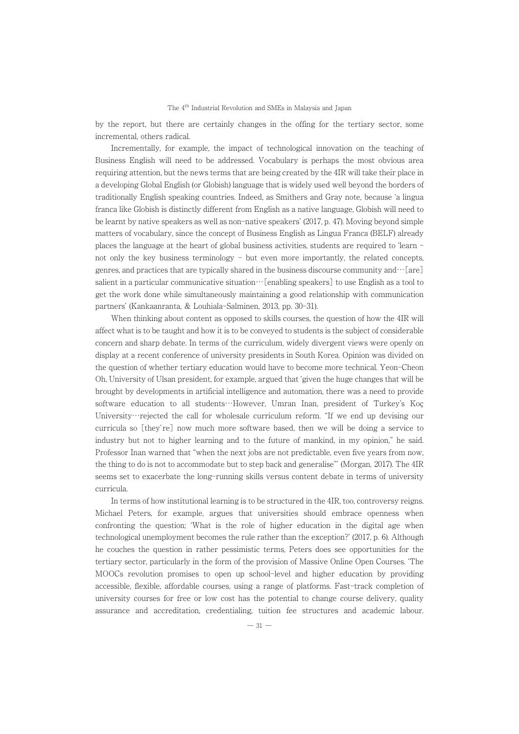by the report, but there are certainly changes in the offing for the tertiary sector, some by the report, but there a<br>incremental, others radical.

Incrementally, for example, the impact of technological innovation on the teaching of Business English will need to be addressed. Vocabulary is perhaps the most obvious area requiring attention, but the news terms that are being created by the 4IR will take their place in a developing Global English (or Globish) language that is widely used well beyond the borders of traditionally English speaking countries. Indeed, as Smithers and Gray note, because ʻa lingua franca like Globish is distinctly different from English as a native language, Globish will need to be learnt by native speakers as well as non-native speakers' (2017, p. 47). Moving beyond simple be rearm by narive speakers as wen as non-narive speakers (2011, p. 41), moving beyond simple<br>matters of vocabulary, since the concept of Business English as Lingua Franca (BELF) already places the language at the heart of global business activities, students are required to ʻlearn places the language at the heart of global business activities, students are required to learn<br>not only the key business terminology - but even more importantly, the related concepts, genres, and practices that are typically shared in the business discourse community and…[are] salient in a particular communicative situation…[enabling speakers] to use English as a tool to get the work done while simultaneously maintaining a good relationship with communication get the work done while simultaneously maintaining a good relationship with communication partners' (Kankaanranta, & Louhiala-Salminen, 2013, pp. 30-31).

When thinking about content as opposed to skills courses, the question of how the 4IR will when uninking about content as opposed to skill courses, the question of how the 4HX will<br>affect what is to be taught and how it is to be conveyed to students is the subject of considerable concern and sharp debate. In terms of the curriculum, widely divergent views were openly on display at a recent conference of university presidents in South Korea. Opinion was divided on the question of whether tertiary education would have to become more technical. Yeon-Cheon Oh, University of Ulsan president, for example, argued that ʻgiven the huge changes that will be brought by developments in artificial intelligence and automation, there was a need to provide software education to all students…However, Umran Inan, president of Turkey's Koç University…rejected the call for wholesale curriculum reform. "If we end up devising our curricula so [they're] now much more software based, then we will be doing a service to<br>curricula so [they're] now much more software based, then we will be doing a service to industry but not to higher learning and to the future of mankind, in my opinion," he said. Professor Inan warned that "when the next jobs are not predictable, even five years from now, the thing to do is not to accommodate but to step back and generalise"' (Morgan, 2017). The 4IR seems set to exacerbate the long-running skills versus content debate in terms of university<br>seems set to exacerbate the long-running skills versus content debate in terms of university curricula.

In terms of how institutional learning is to be structured in the 4IR, too, controversy reigns. In terms of now institutional learning is to be structured in the 4nx, too, controversy reigns.<br>Michael Peters, for example, argues that universities should embrace openness when confronting the question; 'What is the role of higher education in the digital age when<br>confronting the question; 'What is the role of higher education in the digital age when technological unemployment becomes the rule rather than the exception?' (2017, p. 6). Although he couches the question in rather pessimistic terms, Peters does see opportunities for the tertiary sector, particularly in the form of the provision of Massive Online Open Courses. ʻThe MOOCs revolution promises to open up school-level and higher education by providing accessible, flexible, affordable courses, using a range of platforms. Fast-track completion of accessible, hexible, anotuable courses, using a range or planorius. Fast track completion or<br>university courses for free or low cost has the potential to change course delivery, quality assurance and accreditation, credentialing, tuition fee structures and academic labour.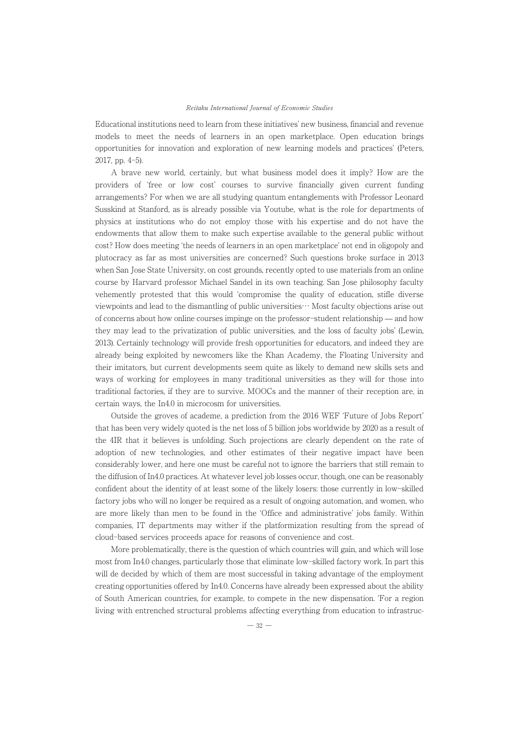Educational institutions need to learn from these initiatives' new business, financial and revenue models to meet the needs of learners in an open marketplace. Open education brings opportunities for innovation and exploration of new learning models and practices' (Peters, оррот tunnues<br>2017, pp. 4–5).

A brave new world, certainly, but what business model does it imply? How are the providers of ʻfree or low cost' courses to survive financially given current funding arrangements? For when we are all studying quantum entanglements with Professor Leonard Susskind at Stanford, as is already possible via Youtube, what is the role for departments of physics at institutions who do not employ those with his expertise and do not have the endowments that allow them to make such expertise available to the general public without cost? How does meeting ʻthe needs of learners in an open marketplace' not end in oligopoly and plutocracy as far as most universities are concerned? Such questions broke surface in 2013 when San Jose State University, on cost grounds, recently opted to use materials from an online when san jose state University, on cost grounds, recently opted to use materials from an online<br>course by Harvard professor Michael Sandel in its own teaching. San Jose philosophy faculty vehemently protested that this would ʻcompromise the quality of education, stifle diverse venemently protested that this would compromise the quanty or education, since diverse<br>viewpoints and lead to the dismantling of public universities… Most faculty objections arise out of concerns about how online courses impinge on the professor-student relationship ̶ and how they may lead to the privatization of public universities, and the loss of faculty jobs' (Lewin, 2013). Certainly technology will provide fresh opportunities for educators, and indeed they are zolo), certainly technology will provide fresh opportunities for educators, and maeed they are<br>already being exploited by newcomers like the Khan Academy, the Floating University and at eauf being exploited by newcomers like the Khan Academy, the Ploating University and<br>their imitators, but current developments seem quite as likely to demand new skills sets and ways of working for employees in many traditional universities as they will for those into ways of working for employees in many traditional universities as they will for those into<br>traditional factories, if they are to survive. MOOCs and the manner of their reception are, in certain ways, the In4.0 in microcosm for universities.

Outside the groves of academe, a prediction from the 2016 WEF ʻFuture of Jobs Report' that has been very widely quoted is the net loss of 5 billion jobs worldwide by 2020 as a result of the 4IR that it believes is unfolding. Such projections are clearly dependent on the rate of adoption of new technologies, and other estimates of their negative impact have been<br>adoption of new technologies, and other estimates of their negative impact have been adoption of hew technologies, and other estimates of their negative impact have been<br>considerably lower, and here one must be careful not to ignore the barriers that still remain to the diffusion of In4.0 practices. At whatever level job losses occur, though, one can be reasonably confident about the identity of at least some of the likely losers: those currently in low-skilled factory jobs who will no longer be required as a result of ongoing automation, and women, who are more likely than men to be found in the ʻOffice and administrative' jobs family. Within companies, IT departments may wither if the platformization resulting from the spread of companies, it departments may written in the platformization resulting<br>cloud-based services proceeds apace for reasons of convenience and cost.

More problematically, there is the question of which countries will gain, and which will lose most from In4.0 changes, particularly those that eliminate low-skilled factory work. In part this most nom may changes, particularly those that emiliate low skilled lactory work. In part this<br>will de decided by which of them are most successful in taking advantage of the employment win de decided by which of them are most successide in taking advantage of the employment<br>creating opportunities offered by In4.0. Concerns have already been expressed about the ability of South American countries, for example, to compete in the new dispensation. ʻFor a region living with entrenched structural problems affecting everything from education to infrastruc-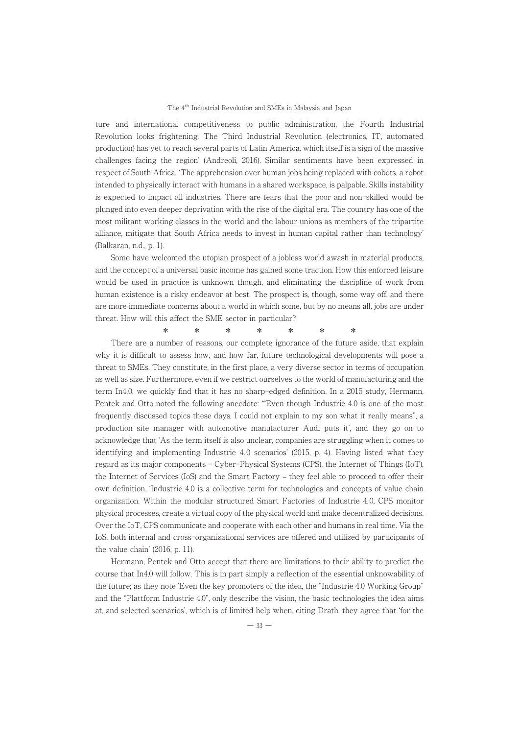ture and international competitiveness to public administration, the Fourth Industrial Revolution looks frightening. The Third Industrial Revolution (electronics, IT, automated production) has yet to reach several parts of Latin America, which itself is a sign of the massive challenges facing the region' (Andreoli, 2016). Similar sentiments have been expressed in respect of South Africa. ʻThe apprehension over human jobs being replaced with cobots, a robot intended to physically interact with humans in a shared workspace, is palpable. Skills instability is expected to impact all industries. There are fears that the poor and non-skilled would be plunged into even deeper deprivation with the rise of the digital era. The country has one of the plunged into even deeper deprivation with the rise of the digital era. The country has one of the most militant working classes in the world and the labour unions as members of the tripartite alliance, mitigate that South Africa needs to invest in human capital rather than technology' amance, murgate tn<br>(Balkaran, n.d., p. 1).

Some have welcomed the utopian prospect of a jobless world awash in material products, some nave welcomed the dioplan prospect of a jobiess world awash in material products,<br>and the concept of a universal basic income has gained some traction. How this enforced leisure and the concept of a universal basic income has gained some traction, frow this emorced leisure<br>would be used in practice is unknown though, and eliminating the discipline of work from human existence is a risky endeavor at best. The prospect is, though, some way off, and there are more immediate concerns about a world in which some, but by no means all, jobs are under are more immediate concerns about a world in which some, but by no mean<br>threat. How will this affect the SME sector in particular?

|  |  |  | $*$ * * * * * * * |  |
|--|--|--|-------------------|--|
|  |  |  |                   |  |

There are a number of reasons, our complete ignorance of the future aside, that explain why it is difficult to assess how, and how far, future technological developments will pose a why it is unificant to assess now, and now far, future technological developments will pose a<br>threat to SMEs. They constitute, in the first place, a very diverse sector in terms of occupation as well as size. Furthermore, even if we restrict ourselves to the world of manufacturing and the as wen as size. Ful thermore, even if we restrict ourserves to the world or manufacturing and the<br>term In4.0, we quickly find that it has no sharp-edged definition. In a 2015 study, Hermann, Pentek and Otto noted the following anecdote: ʻ"Even though Industrie 4.0 is one of the most frequently discussed topics these days, I could not explain to my son what it really means", a production site manager with automotive manufacturer Audi puts it', and they go on to production site manager with automotive manufacturer Adult puts it, and they go on to<br>acknowledge that 'As the term itself is also unclear, companies are struggling when it comes to identifying and implementing Industrie 4. 0 scenarios' (2015, p. 4). Having listed what they regard as its major components - Cyber-Physical Systems (CPS), the Internet of Things (IoT), regard as its major components - Cyber-Physical Systems (CPS), the Internet of Things (IoT), the Internet of Services (IoS) and the Smart Factory – they feel able to proceed to offer their own definition. The interfact that is a collective term for technologies and concepts of value chain organization. Within the modular structured Smart Factories of Industrie 4. 0, CPS monitor physical processes, create a virtual copy of the physical world and make decentralized decisions. physical processes, create a virtual copy of the physical world and make decentralized decisions.<br>Over the IoT, CPS communicate and cooperate with each other and humans in real time. Via the IoS, both internal and cross-organizational services are offered and utilized by participants of the value chain' (2016, p. 11).

Hermann, Pentek and Otto accept that there are limitations to their ability to predict the course that In4.0 will follow. This is in part simply a reflection of the essential unknowability of the future; as they note ʻEven the key promoters of the idea, the "Industrie 4.0 Working Group" and the "Plattform Industrie 4.0", only describe the vision, the basic technologies the idea aims and the Trattion in multiple 4.0, only describe the vision, the basic technologies the idea aims<br>at, and selected scenarios', which is of limited help when, citing Drath, they agree that 'for the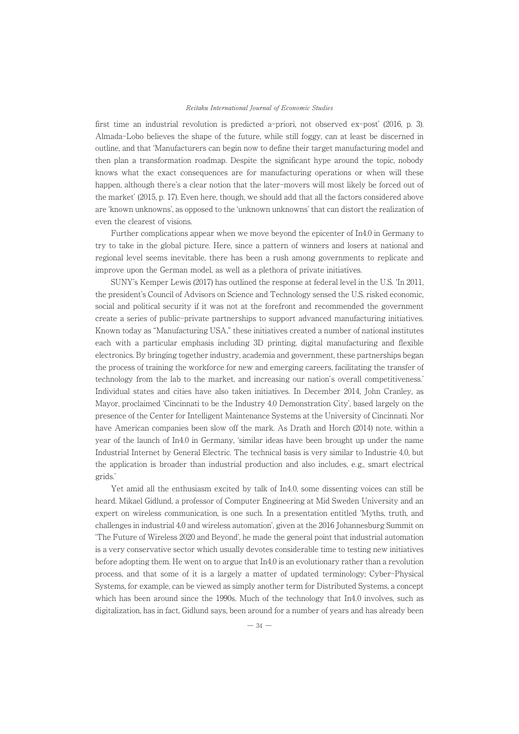first time an industrial revolution is predicted a-priori, not observed ex-post' (2016, p. 3). Almada-Lobo believes the shape of the future, while still foggy, can at least be discerned in outline, and that ʻManufacturers can begin now to define their target manufacturing model and then plan a transformation roadmap. Despite the significant hype around the topic, nobody knows what the exact consequences are for manufacturing operations or when will these happen, although there's a clear notion that the later-movers will most likely be forced out of the market' (2015, p. 17). Even here, though, we should add that all the factors considered above are ʻknown unknowns', as opposed to the ʻunknown unknowns' that can distort the realization of are known unknowns, as op<br>even the clearest of visions.

Further complications appear when we move beyond the epicenter of In4.0 in Germany to try to take in the global picture. Here, since a pattern of winners and losers at national and regional level seems inevitable, there has been a rush among governments to replicate and improve upon the German model, as well as a plethora of private initiatives.

SUNY's Kemper Lewis (2017) has outlined the response at federal level in the U.S. ʻIn 2011, the president's Council of Advisors on Science and Technology sensed the U.S. risked economic, social and political security if it was not at the forefront and recommended the government social and political security in it was not at the foremolic and recommended the government<br>create a series of public-private partnerships to support advanced manufacturing initiatives. Known today as "Manufacturing USA," these initiatives created a number of national institutes each with a particular emphasis including 3D printing, digital manufacturing and flexible each with a particular emphasis including 3D printing, uightar manufacturing and nexibie<br>electronics. By bringing together industry, academia and government, these partnerships began the process of training the workforce for new and emerging careers, facilitating the transfer of the process of training the workforce for new and efference and externs, racintating the transfer of technology from the lab to the market, and increasing our nation's overall competitiveness.' Individual states and cities have also taken initiatives. In December 2014, John Cranley, as Mayor, proclaimed ʻCincinnati to be the Industry 4.0 Demonstration City', based largely on the presence of the Center for Intelligent Maintenance Systems at the University of Cincinnati. Nor presence of the center for intemgent maintenance systems at the University of Unicliniati, Nor<br>have American companies been slow off the mark. As Drath and Horch (2014) note, within a year of the launch of In4.0 in Germany, 'similar ideas have been brought up under the name Industrial Internet by General Electric. The technical basis is very similar to Industrie 4.0, but Industrial interior by General Electric. The technical basis is very similar to mudstrie 4.0, but<br>the application is broader than industrial production and also includes, e.g., smart electrical grids.

Yet amid all the enthusiasm excited by talk of In4.0, some dissenting voices can still be heard. Mikael Gidlund, a professor of Computer Engineering at Mid Sweden University and an expert on wireless communication, is one such. In a presentation entitled ʻMyths, truth, and expert on wireless communication, is one such, in a presentation entitied wiyths, truth, and<br>challenges in industrial 4.0 and wireless automation', given at the 2016 Johannesburg Summit on ʻThe Future of Wireless 2020 and Beyond', he made the general point that industrial automation is a very conservative sector which usually devotes considerable time to testing new initiatives before adopting them. He went on to argue that In4.0 is an evolutionary rather than a revolution process, and that some of it is a largely a matter of updated terminology; Cyber-Physical process, and that some of it is a fargely a matter or updated terminology, Cyber 1 hysical<br>Systems, for example, can be viewed as simply another term for Distributed Systems, a concept systems, to example, can be viewed as simply another term for Distributed Systems, a concept<br>which has been around since the 1990s. Much of the technology that In4.0 involves, such as which has been around since the 1990s, much of the technology that his o involves, such as<br>digitalization, has in fact, Gidlund says, been around for a number of years and has already been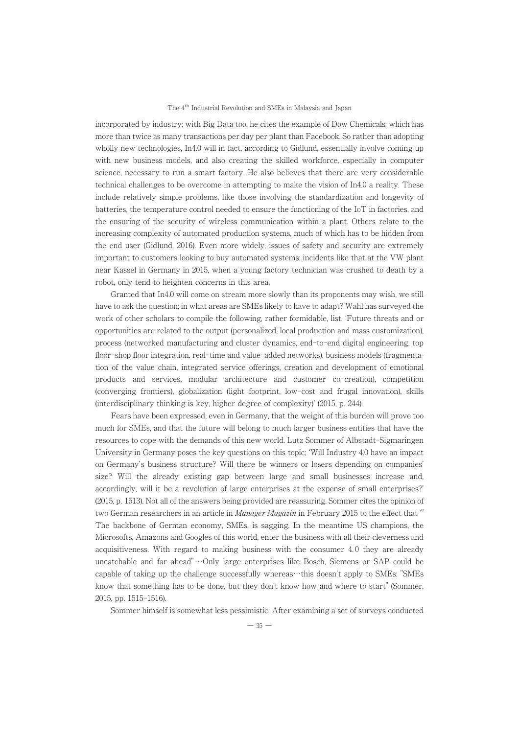incorporated by industry; with Big Data too, he cites the example of Dow Chemicals, which has more than twice as many transactions per day per plant than Facebook. So rather than adopting<br>more than twice as many transactions per day per plant than Facebook. So rather than adopting wholly new technologies, In4.0 will in fact, according to Gidlund, essentially involve coming up whony new technologies, in 4.0 will in fact, according to Gidiana, essentially involve coming up<br>with new business models, and also creating the skilled workforce, especially in computer with hew business models, and also creating the skined workforce, especially in computer<br>science, necessary to run a smart factory. He also believes that there are very considerable science, necessary to fun a smart factory. He also beneves that there are very considerable<br>technical challenges to be overcome in attempting to make the vision of In4.0 a reality. These include relatively simple problems, like those involving the standardization and longevity of batteries, the temperature control needed to ensure the functioning of the IoT in factories, and the ensuring of the security of wireless communication within a plant. Others relate to the increasing complexity of automated production systems, much of which has to be hidden from the end user (Gidlund, 2016). Even more widely, issues of safety and security are extremely ine end user (oldinata, 2010). Even more which, issues or safety and security are extremely<br>important to customers looking to buy automated systems; incidents like that at the VW plant nifiportant to customers looking to buy automated systems, incluents like that at the v w plant<br>near Kassel in Germany in 2015, when a young factory technician was crushed to death by a robot, only tend to heighten concerns in this area.

Granted that In4.0 will come on stream more slowly than its proponents may wish, we still have to ask the question; in what areas are SMEs likely to have to adapt? Wahl has surveyed the mave to ask the question, in what areas are sivilis intery to have to adapt: want has surveyed the<br>work of other scholars to compile the following, rather formidable, list. Future threats and or opportunities are related to the output (personalized, local production and mass customization), process (networked manufacturing and cluster dynamics, end-to-end digital engineering, top floor-shop floor integration, real-time and value-added networks), business models (fragmentation of the value chain, integrated service offerings, creation and development of emotional products and services, modular architecture and customer co-creation), competition (converging frontiers), globalization (light footprint, low-cost and frugal innovation), skills (interdisciplinary thinking is key, higher degree of complexity)' (2015, p. 244).

Fears have been expressed, even in Germany, that the weight of this burden will prove too much for SMEs, and that the future will belong to much larger business entities that have the resources to cope with the demands of this new world. Lutz Sommer of Albstadt-Sigmaringen University in Germany poses the key questions on this topic; ʻWill Industry 4.0 have an impact on Germany's business structure? Will there be winners or losers depending on companies' size? Will the already existing gap between large and small businesses increase and, size: will the already existing gap between large and sinall businesses increase and,<br>accordingly, will it be a revolution of large enterprises at the expense of small enterprises?' (2015, p. 1513). Not all of the answers being provided are reassuring. Sommer cites the opinion of key by p. 1919). Ivot an or the answers being provided are reassuring, sommer cites the opinion or<br>two German researchers in an article in *Manager Magazin* in February 2015 to the effect that " two derman researchers in an article in *manager magazin* in February 2015 to the enect that<br>The backbone of German economy, SMEs, is sagging. In the meantime US champions, the Microsofts, Amazons and Googles of this world, enter the business with all their cleverness and acquisitiveness. With regard to making business with the consumer 4.0 they are already acquisitiveness. With regard to making business with the consumer 4.0 they are afready<br>uncatchable and far ahead"…Only large enterprises like Bosch, Siemens or SAP could be capable of taking up the challenge successfully whereas…this doesn't apply to SMEs: "SMEs know that something has to be done, but they don't know how and where to start" (Sommer, 2015, pp. 1515-1516).

Sommer himself is somewhat less pessimistic. After examining a set of surveys conducted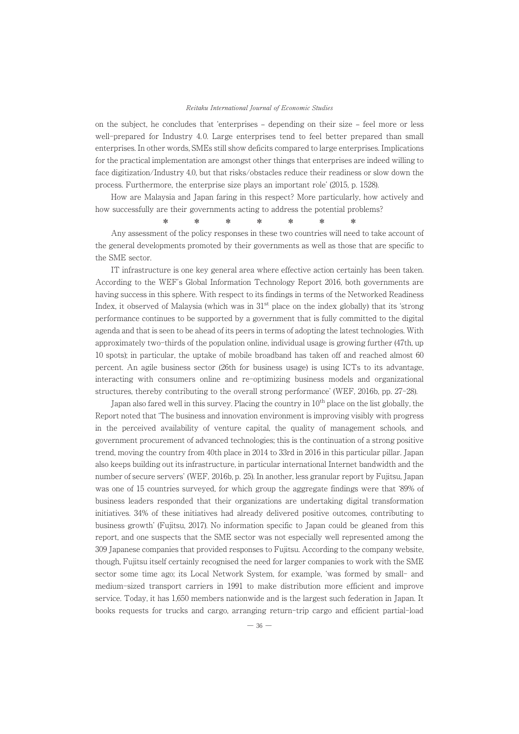on the subject, he concludes that 'enterprises – depending on their size – feel more or less on the subject, he concludes that enterprises – depending on their size – leef more of less<br>well-prepared for Industry 4.0. Large enterprises tend to feel better prepared than small enterprises. In other words, SMEs still show deficits compared to large enterprises. Implications for the practical implementation are amongst other things that enterprises are indeed willing to face digitization/Industry 4.0, but that risks/obstacles reduce their readiness or slow down the process. Furthermore, the enterprise size plays an important role' (2015, p. 1528).

ess. Furthermore, the enterprise size plays an important role (2015, p. 1526).<br>How are Malaysia and Japan faring in this respect? More particularly, how actively and how successfully are their governments acting to address the potential problems?

Any assessment of the policy responses in these two countries will need to take account of the general developments promoted by their governments as well as those that are specific to the SME sector.

IT infrastructure is one key general area where effective action certainly has been taken. According to the WEF's Global Information Technology Report 2016, both governments are having success in this sphere. With respect to its findings in terms of the Networked Readiness Index, it observed of Malaysia (which was in 31st place on the index globally) that its ʻstrong performance continues to be supported by a government that is fully committed to the digital agenda and that is seen to be ahead of its peers in terms of adopting the latest technologies. With agenua and that is seen to be anead or its peers in terms or adopting the ratest technologies. With<br>approximately two-thirds of the population online, individual usage is growing further (47th, up approximately two timus of the population of the mulvidual usage is growing fultiler (47 th, up<br>10 spots); in particular, the uptake of mobile broadband has taken off and reached almost 60 percent. An agile business sector (26th for business usage) is using ICTs to its advantage, interacting with consumers online and re-optimizing business models and organizational structures, thereby contributing to the overall strong performance' (WEF, 2016b, pp. 27-28).

In the state of contributing to the overall strong performance (w.g. corol), pp. 21–26).<br>Japan also fared well in this survey. Placing the country in 10<sup>th</sup> place on the list globally, the Report noted that ʻThe business and innovation environment is improving visibly with progress in the perceived availability of venture capital, the quality of management schools, and In the perceived availability of venture capital, the quality of management schools, and<br>government procurement of advanced technologies; this is the continuation of a strong positive trend, moving the country from 40th place in 2014 to 33rd in 2016 in this particular pillar. Japan also keeps building out its infrastructure, in particular international Internet bandwidth and the number of secure servers' (WEF, 2016b, p. 25). In another, less granular report by Fujitsu, Japan was one of 15 countries surveyed, for which group the aggregate findings were that ʻ89% of was one of 15 countries surveyed, for which group the aggregate midings were that 63% of<br>business leaders responded that their organizations are undertaking digital transformation initiatives. 34% of these initiatives had already delivered positive outcomes, contributing to business growth' (Fujitsu, 2017). No information specific to Japan could be gleaned from this report, and one suspects that the SME sector was not especially well represented among the 309 Japanese companies that provided responses to Fujitsu. According to the company website, though, Fujitsu itself certainly recognised the need for larger companies to work with the SME sector some time ago; its Local Network System, for example, ʻwas formed by small- and medium-sized transport carriers in 1991 to make distribution more efficient and improve service. Today, it has 1,650 members nationwide and is the largest such federation in Japan. It books requests for trucks and cargo, arranging return-trip cargo and efficient partial-load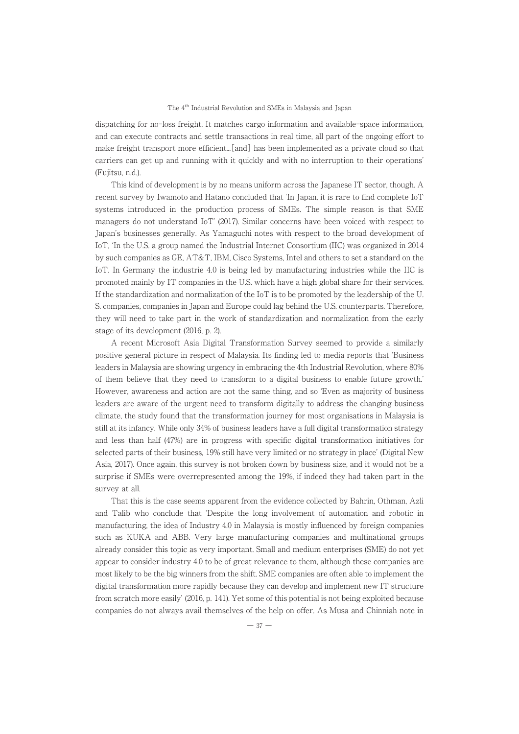dispatching for no-loss freight. It matches cargo information and available-space information, and can execute contracts and settle transactions in real time, all part of the ongoing effort to make freight transport more efficient...[and] has been implemented as a private cloud so that carriers can get up and running with it quickly and with no interruption to their operations' (Fujitsu, n.d.).

This kind of development is by no means uniform across the Japanese IT sector, though. A recent survey by Iwamoto and Hatano concluded that ʻIn Japan, it is rare to find complete IoT systems introduced in the production process of SMEs. The simple reason is that SME systems introduced in the production process or SMES. The simple reason is that SME<br>managers do not understand IoT' (2017). Similar concerns have been voiced with respect to Japan's businesses generally. As Yamaguchi notes with respect to the broad development of IoT, ʻIn the U.S. a group named the Industrial Internet Consortium (IIC) was organized in 2014 by such companies as GE, AT&T, IBM, Cisco Systems, Intel and others to set a standard on the Io such companies as  $G_E$ ,  $A_I \propto I$ , i.e., i.e., or systems, inter and others to set a standard on the IIC is local for the industrie 4.0 is being led by manufacturing industries while the IIC is promoted mainly by IT companies in the U.S. which have a high global share for their services. If the standardization and normalization of the IoT is to be promoted by the leadership of the U. S. companies, companies in Japan and Europe could lag behind the U.S. counterparts. Therefore, they will need to take part in the work of standardization and normalization from the early stage of its development (2016, p. 2).

A recent Microsoft Asia Digital Transformation Survey seemed to provide a similarly positive general picture in respect of Malaysia. Its finding led to media reports that ʻBusiness leaders in Malaysia are showing urgency in embracing the 4th Industrial Revolution, where 80% of them believe that they need to transform to a digital business to enable future growth.' However, awareness and action are not the same thing, and so ʻEven as majority of business leaders are aware of the urgent need to transform digitally to address the changing business climate, the study found that the transformation journey for most organisations in Malaysia is still at its infancy. While only 34% of business leaders have a full digital transformation strategy stin at its imality. While only 5470 of business leaders have a fun digital transformation strategy<br>and less than half (47%) are in progress with specific digital transformation initiatives for selected parts of their business, 19% still have very limited or no strategy in place' (Digital New Asia, 2017). Once again, this survey is not broken down by business size, and it would not be a surprise if SMEs were overrepresented among the 19%, if indeed they had taken part in the surprise ir si<br>survey at all.

That this is the case seems apparent from the evidence collected by Bahrin, Othman, Azli and Talib who conclude that ʻDespite the long involvement of automation and robotic in manufacturing, the idea of Industry 4.0 in Malaysia is mostly influenced by foreign companies such as KUKA and ABB. Very large manufacturing companies and multinational groups already consider this topic as very important. Small and medium enterprises (SME) do not yet appear to consider industry 4.0 to be of great relevance to them, although these companies are appear to consider industry 4.0 to be of great relevance to them, although these companies are appear to consider mudstry 4.0 to be or great relevance to them, although these companies are most likely to be the big winners from the shift. SME companies are often able to implement the digital transformation more rapidly because they can develop and implement new IT structure from scratch more easily' (2016, p. 141). Yet some of this potential is not being exploited because companies do not always avail themselves of the help on offer. As Musa and Chinniah note in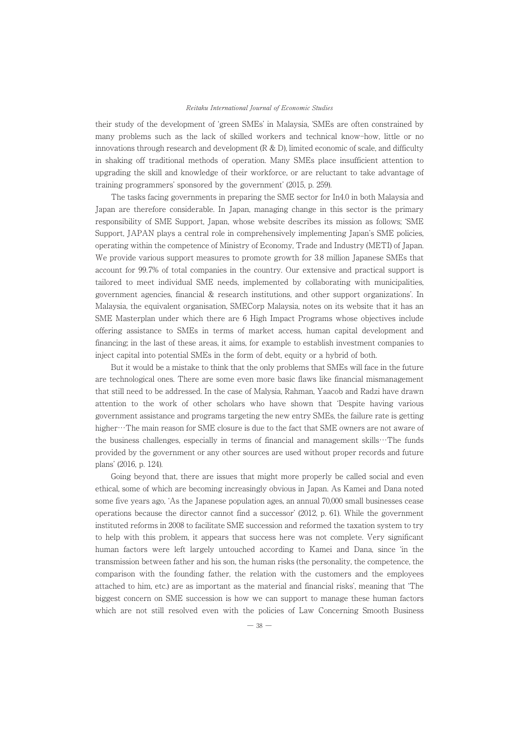their study of the development of ʻgreen SMEs' in Malaysia, ʻSMEs are often constrained by many problems such as the lack of skilled workers and technical know-how, little or no innovations through research and development (R & D), limited economic of scale, and difficulty innovations through research and development ( $\alpha \alpha D$ ), innited economic or scale, and difficulty<br>in shaking off traditional methods of operation. Many SMEs place insufficient attention to upgrading the skill and knowledge of their workforce, or are reluctant to take advantage of training programmers' sponsored by the government' (2015, p. 259).

Ing programmers sponsored by the government (2015, p. 255).<br>The tasks facing governments in preparing the SME sector for In4.0 in both Malaysia and Japan are therefore considerable. In Japan, managing change in this sector is the primary responsibility of SME Support, Japan, whose website describes its mission as follows; ʻSME Support, JAPAN plays a central role in comprehensively implementing Japan's SME policies, operating within the competence of Ministry of Economy, Trade and Industry (METI) of Japan. We provide various support measures to promote growth for 3.8 million Japanese SMEs that we provide various support measures to promote growth for 5.6 million japanese siviles that<br>account for 99.7% of total companies in the country. Our extensive and practical support is tailored to meet individual SME needs, implemented by collaborating with municipalities, government agencies, financial & research institutions, and other support organizations'. In Malaysia, the equivalent organisation, SMECorp Malaysia, notes on its website that it has an waaaysia, the equivalent organisation, SiviECorp Malaysia, hotes on its website that it has all<br>SME Masterplan under which there are 6 High Impact Programs whose objectives include offering assistance to SMEs in terms of market access, human capital development and financing; in the last of these areas, it aims, for example to establish investment companies to inject capital into potential SMEs in the form of debt, equity or a hybrid of both.

But it would be a mistake to think that the only problems that SMEs will face in the future are technological ones. There are some even more basic flaws like financial mismanagement that still need to be addressed. In the case of Malysia, Rahman, Yaacob and Radzi have drawn attention to the work of other scholars who have shown that ʻDespite having various government assistance and programs targeting the new entry SMEs, the failure rate is getting higher…The main reason for SME closure is due to the fact that SME owners are not aware of the business challenges, especially in terms of financial and management skills…The funds the business challenges, especially in terms of financial and management skills…The funds provided by the government or any other sources are used without proper records and future plans' (2016, p. 124).

s (2010, p. 124).<br>Going beyond that, there are issues that might more properly be called social and even ethical, some of which are becoming increasingly obvious in Japan. As Kamei and Dana noted some five years ago, ʻAs the Japanese population ages, an annual 70,000 small businesses cease operations because the director cannot find a successor' (2012, p. 61). While the government instituted reforms in 2008 to facilitate SME succession and reformed the taxation system to try to help with this problem, it appears that success here was not complete. Very significant human factors were left largely untouched according to Kamei and Dana, since ʻin the transmission between father and his son, the human risks (the personality, the competence, the comparison between rather and his son, the human risks (the personality, the competence, the<br>comparison with the founding father, the relation with the customers and the employees attached to him, etc.) are as important as the material and financial risks', meaning that ʻThe attached to film, etc.) are as important as the material and miancial risks, meaning that The<br>biggest concern on SME succession is how we can support to manage these human factors which are not still resolved even with the policies of Law Concerning Smooth Business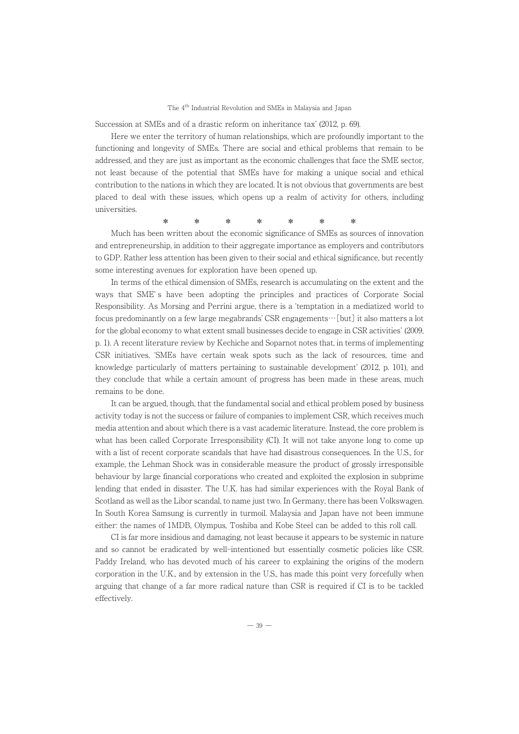Succession at SMEs and of a drastic reform on inheritance tax' (2012, p. 69).

Ession at Swifes and or a drastic reform on inheritance tax (2012, p. 09).<br>Here we enter the territory of human relationships, which are profoundly important to the functioning and longevity of SMEs. There are social and ethical problems that remain to be addressed, and they are just as important as the economic challenges that face the SME sector, not least because of the potential that SMEs have for making a unique social and ethical<br>not least because of the potential that SMEs have for making a unique social and ethical contribution to the nations in which they are located. It is not obvious that governments are best placed to deal with these issues, which opens up a realm of activity for others, including placed to deal with these issues, which opens up a realm of activity for others, including universities.

Much has been written about the economic significance of SMEs as sources of innovation and entrepreneurship, in addition to their aggregate importance as employers and contributors and entrepreneursmp, in addition to their aggregate importance as employers and contributors<br>to GDP. Rather less attention has been given to their social and ethical significance, but recently some interesting avenues for exploration have been opened up.

In terms of the ethical dimension of SMEs, research is accumulating on the extent and the In terms of the ethical differences of SME's have been adopting the principles and practices of Corporate Social Responsibility. As Morsing and Perrini argue, there is a ʻtemptation in a mediatized world to focus predominantly on a few large megabrands' CSR engagements…[but] it also matters a lot for the global economy to what extent small businesses decide to engage in CSR activities' (2009, p. 1). A recent literature review by Kechiche and Soparnot notes that, in terms of implementing CSR initiatives, ʻSMEs have certain weak spots such as the lack of resources, time and knowledge particularly of matters pertaining to sustainable development' (2012, p. 101), and they conclude that while a certain amount of progress has been made in these areas, much remains to be done.

It can be argued, though, that the fundamental social and ethical problem posed by business It can be argued, though, that the fundamental social and ethical problem posed by business<br>activity today is not the success or failure of companies to implement CSR, which receives much media attention and about which there is a vast academic literature. Instead, the core problem is what has been called Corporate Irresponsibility (CI). It will not take anyone long to come up what has been cancel corporate in esponsibility (cr). It will not take anyone long to come up<br>with a list of recent corporate scandals that have had disastrous consequences. In the U.S., for with a list of recent corporate scandals that have had disastrous consequences. In the 0.5, for<br>example, the Lehman Shock was in considerable measure the product of grossly irresponsible behaviour by large financial corporations who created and exploited the explosion in subprime lending that ended in disaster. The U.K. has had similar experiences with the Royal Bank of Scotland as well as the Libor scandal, to name just two. In Germany, there has been Volkswagen. In South Korea Samsung is currently in turmoil. Malaysia and Japan have not been immune either: the names of 1MDB, Olympus, Toshiba and Kobe Steel can be added to this roll call.

CI is far more insidious and damaging, not least because it appears to be systemic in nature and so cannot be eradicated by well-intentioned but essentially cosmetic policies like CSR. and so cannot be eradicated by wen internoned but essentially cosmetic poncies like CSN.<br>Paddy Ireland, who has devoted much of his career to explaining the origins of the modern corporation in the U.K., and by extension in the U.S., has made this point very forcefully when corporation in the U.K., and by extension in the U.S., has made this point very forcefully when<br>arguing that change of a far more radical nature than CSR is required if CI is to be tackled effectively.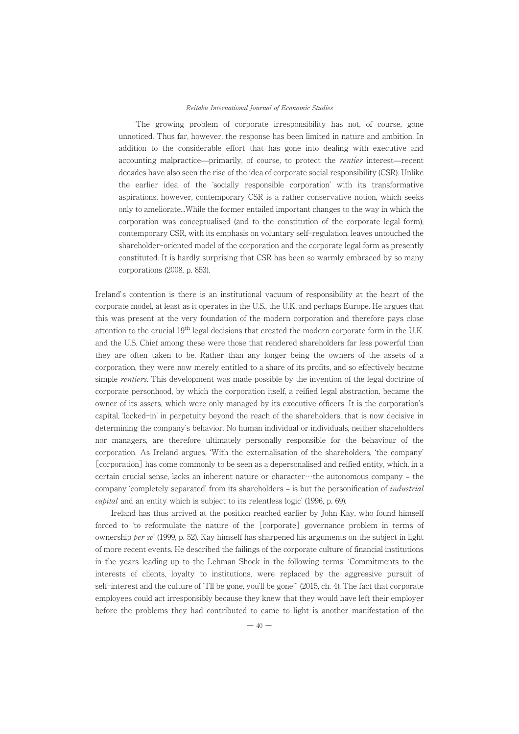ʻThe growing problem of corporate irresponsibility has not, of course, gone The growing problem of corporate irresponsibility has not, or course, gone<br>unnoticed. Thus far, however, the response has been limited in nature and ambition. In addition to the considerable effort that has gone into dealing with executive and addition to the considerable effort that has gone into dealing with executive and addition to the considerable enort that has gone into dealing with executive and<br>accounting malpractice—primarily, of course, to protect the *rentier* interest—recent decades have also seen the rise of the idea of corporate social responsibility (CSR). Unlike decades have also seen the rise of the idea of corporate social responsibility (CSR). Unlike the earlier idea of the ʻsocially responsible corporation' with its transformative aspirations, however, contemporary CSR is a rather conservative notion, which seeks aspirations, nowever, contemporary CSR is a rather conservative hotion, which seeks<br>only to ameliorate...While the former entailed important changes to the way in which the corporation was conceptualised (and to the constitution of the corporate legal form), contemporary CSR, with its emphasis on voluntary self-regulation, leaves untouched the shareholder-oriented model of the corporation and the corporate legal form as presently sharehouser oriented moder of the corporation and the corporate legal form as presently<br>constituted. It is hardly surprising that CSR has been so warmly embraced by so many corporations (2008, p. 853).

Ireland's contention is there is an institutional vacuum of responsibility at the heart of the corporate model, at least as it operates in the U.S., the U.K. and perhaps Europe. He argues that this was present at the very foundation of the modern corporation and therefore pays close attention to the crucial 19<sup>th</sup> legal decisions that created the modern corporate form in the U.K. attention to the crucial 19 legal decisions that created the modern corporate form in the U.S.<br>and the U.S. Chief among these were those that rendered shareholders far less powerful than and the 0.5. Chief among these were those that rendered shareholders far less powerful than<br>they are often taken to be. Rather than any longer being the owners of the assets of a corporation, they were now merely entitled to a share of its profits, and so effectively became simple *rentiers*. This development was made possible by the invention of the legal doctrine of corporate personhood, by which the corporation itself, a reified legal abstraction, became the corporate corporate personnood, by which the corporation itsen, a reflect legal abstraction, became the<br>owner of its assets, which were only managed by its executive officers. It is the corporation's capital, ʻlocked-in' in perpetuity beyond the reach of the shareholders, that is now decisive in determining the company's behavior. No human individual or individuals, neither shareholders nor managers, are therefore ultimately personally responsible for the behaviour of the noncorporation. As Ireland argues, ʻWith the externalisation of the shareholders, ʻthe company' [corporation] has come commonly to be seen as a depersonalised and reified entity, which, in a  $\frac{1}{2}$  certain crucial sense, lacks an inherent nature or character…the autonomous company – the company 'completely separated' from its shareholders – is but the personification of *industrial* capital and an entity which is subject to its relentless logic' (1996, p. 69).

Ireland has thus arrived at the position reached earlier by John Kay, who found himself forced to 'to reformulate the nature of the [corporate] governance problem in terms of ownership  $per se'$  (1999, p. 52). Kay himself has sharpened his arguments on the subject in light ownersing *per se* (1999, p. 92). Kay immedially has sharpened instangulations of the subject in light<br>of more recent events. He described the failings of the corporate culture of financial institutions In the years leading up to the Lehman Shock in the following terms: 'Commitments to the in the years leading up to the Lemman Shock in the lonowing terms. Communients to the<br>interests of clients, loyalty to institutions, were replaced by the aggressive pursuit of self-interest and the culture of "I'll be gone, you'll be gone"' (2015, ch. 4). The fact that corporate employees could act irresponsibly because they knew that they would have left their employer before the problems they had contributed to came to light is another manifestation of the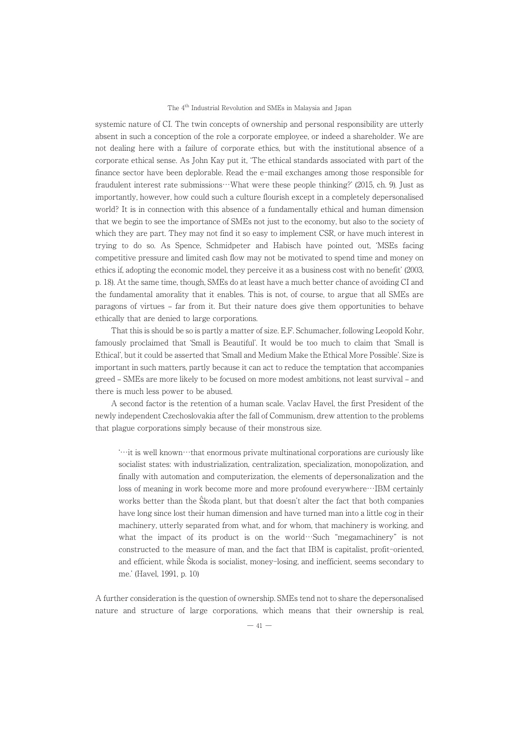systemic nature of CI. The twin concepts of ownership and personal responsibility are utterly absent in such a conception of the role a corporate employee, or indeed a shareholder. We are absent in such a conception of the role a corporate employee, or indeed a shareholder. We are absent in such a conception of the role a corporate employee, or indeed a shareholder, we are<br>not dealing here with a failure of corporate ethics, but with the institutional absence of a corporate ethical sense. As John Kay put it, ʻThe ethical standards associated with part of the finance sector have been deplorable. Read the e-mail exchanges among those responsible for fraudulent interest rate submissions…What were these people thinking?' (2015, ch. 9). Just as importantly, however, how could such a culture flourish except in a completely depersonalised miportantly, nowever, now could such a culture hourish except in a completely depersonalised<br>world? It is in connection with this absence of a fundamentally ethical and human dimension world: It is in connection with this absence of a fundamentally ethical and human dimension<br>that we begin to see the importance of SMEs not just to the economy, but also to the society of which they are part. They may not find it so easy to implement CSR, or have much interest in trying to do so. As Spence, Schmidpeter and Habisch have pointed out, ʻMSEs facing competitive pressure and limited cash flow may not be motivated to spend time and money on ethics if, adopting the economic model, they perceive it as a business cost with no benefit' (2003, p. 18). At the same time, though, SMEs do at least have a much better chance of avoiding CI and p. 10). At the same time, though, SMEs to at least have a much better chance of avoiding Cr and<br>the fundamental amorality that it enables. This is not, of course, to argue that all SMEs are paragons of virtues ‒ far from it. But their nature does give them opportunities to behave paragons or virtues – iar from it, but their networks.

That this is should be so is partly a matter of size. E.F. Schumacher, following Leopold Kohr, famously proclaimed that ʻSmall is Beautiful'. It would be too much to claim that ʻSmall is Ethical', but it could be asserted that ʻSmall and Medium Make the Ethical More Possible'. Size is important in such matters, partly because it can act to reduce the temptation that accompanies important in such matters, partly because it can act to reutie the temptation that accompanies<br>greed – SMEs are more likely to be focused on more modest ambitions, not least survival – and greed – SMEs are more mery to be foct<br>there is much less power to be abused.

A second factor is the retention of a human scale. Vaclav Havel, the first President of the newly independent Czechoslovakia after the fall of Communism, drew attention to the problems that plague corporations simply because of their monstrous size.

ʻ…it is well known…that enormous private multinational corporations are curiously like socialist states: with industrialization, centralization, specialization, monopolization, and socialist states. With industrialization, centralization, specialization, inonopolization, and<br>finally with automation and computerization, the elements of depersonalization and the loss of meaning in work become more and more profound everywhere…IBM certainly works better than the Ŝkoda plant, but that doesn't alter the fact that both companies have long since lost their human dimension and have turned man into a little cog in their mave long since lost their numan dimension and have turned man into a little cog in their<br>machinery, utterly separated from what, and for whom, that machinery is working, and machinery, utterly separated from what, and for whom, that machinery is working, and<br>what the impact of its product is on the world…Such "megamachinery" is not constructed to the measure of man, and the fact that IBM is capitalist, profit-oriented, and efficient, while <sup>Ŝ</sup>koda is socialist, money-losing, and inefficient, seems secondary to me.' (Havel, 1991, p. 10)

A further consideration is the question of ownership. SMEs tend not to share the depersonalised nature and structure of large corporations, which means that their ownership is real,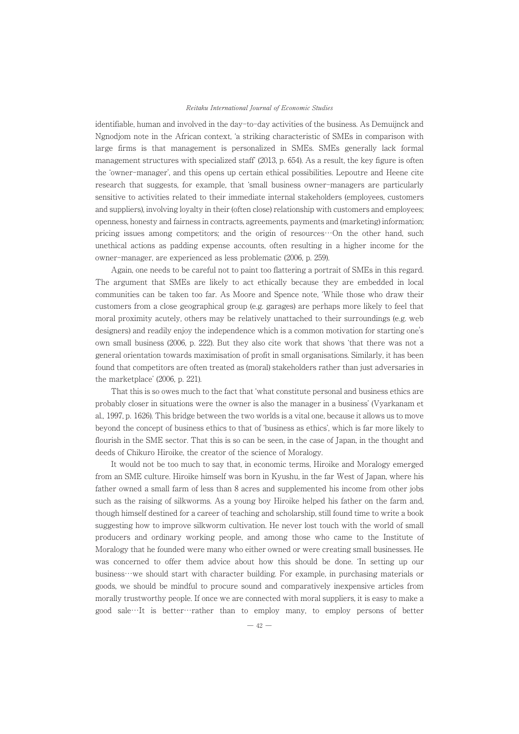identifiable, human and involved in the day-to-day activities of the business. As Demuijnck and Ngnodjom note in the African context, ʻa striking characteristic of SMEs in comparison with large firms is that management is personalized in SMEs. SMEs generally lack formal reflection. The management is personalized in SWES SWES generally fack formal<br>management structures with specialized staff' (2013, p. 654). As a result, the key figure is often the ʻowner-manager', and this opens up certain ethical possibilities. Lepoutre and Heene cite research that suggests, for example, that ʻsmall business owner-managers are particularly sensitive to activities related to their immediate internal stakeholders (employees, customers and suppliers), involving loyalty in their (often close) relationship with customers and employees; openness, honesty and fairness in contracts, agreements, payments and (marketing) information; pricing issues among competitors; and the origin of resources  $\cdots$ On the other hand, such pricing issues among competitors; and the origin of resources  $\cdots$ On the other hand, such unethical actions as padding expense accounts, often resulting in a higher income for the owner-manager, are experienced as less problematic (2006, p. 259).

Again, one needs to be careful not to paint too flattering a portrait of SMEs in this regard. The argument that SMEs are likely to act ethically because they are embedded in local communities can be taken too far. As Moore and Spence note, ʻWhile those who draw their communities can be taken too far. As moore and spence note, while those who draw then<br>customers from a close geographical group (e.g. garages) are perhaps more likely to feel that moral proximity acutely, others may be relatively unattached to their surroundings (e.g. web not at proximity actuery, others may be relatively unattached to their surroundings (e.g. web<br>designers) and readily enjoy the independence which is a common motivation for starting one's own small business (2006, p. 222). But they also cite work that shows ʻthat there was not a general orientation towards maximisation of profit in small organisations. Similarly, it has been found that competitors are often treated as (moral) stakeholders rather than just adversaries in the marketplace' (2006, p. 221).

That this is so owes much to the fact that ʻwhat constitute personal and business ethics are probably closer in situations were the owner is also the manager in a business' (Vyarkanam et al., 1997, p. 1626). This bridge between the two worlds is a vital one, because it allows us to move ally 1997, p. 1020). This bridge between the two worlds is a vital one, because it allows us to move<br>beyond the concept of business ethics to that of 'business as ethics', which is far more likely to flourish in the SME sector. That this is so can be seen, in the case of Japan, in the thought and flourish in the SME sector. That this is so can be seen, in the case of Japan, in the thought and deeds of Chikuro Hiroike, the creator of the science of Moralogy.

It would not be too much to say that, in economic terms, Hiroike and Moralogy emerged<br>It would not be too much to say that, in economic terms, Hiroike and Moralogy emerged from an SME culture. Hiroike himself was born in Kyushu, in the far West of Japan, where his father owned a small farm of less than 8 acres and supplemented his income from other jobs such as the raising of silkworms. As a young boy Hiroike helped his father on the farm and, such as the raising or sikworms. As a young boy rinoke helped instration the farm and,<br>though himself destined for a career of teaching and scholarship, still found time to write a book suggesting how to improve silkworm cultivation. He never lost touch with the world of small producers and ordinary working people, and among those who came to the Institute of producers and ordinary working people, and among those who came to the institute or<br>Moralogy that he founded were many who either owned or were creating small businesses. He whoralogy that he founded were marry who entier owned or were creating sman businesses. The<br>was concerned to offer them advice about how this should be done. The setting up our was concerned to oner them advice about now this should be done. In setting up our business…we should start with character building. For example, in purchasing materials or pusifiess we should start with character bunding. For example, in purchasing materials or<br>goods, we should be mindful to procure sound and comparatively inexpensive articles from morally trustworthy people. If once we are connected with moral suppliers, it is easy to make a morally trustworthly people. If once we are connected with moral suppliers, it is easy to make a<br>good sale…It is better…rather than to employ many, to employ persons of better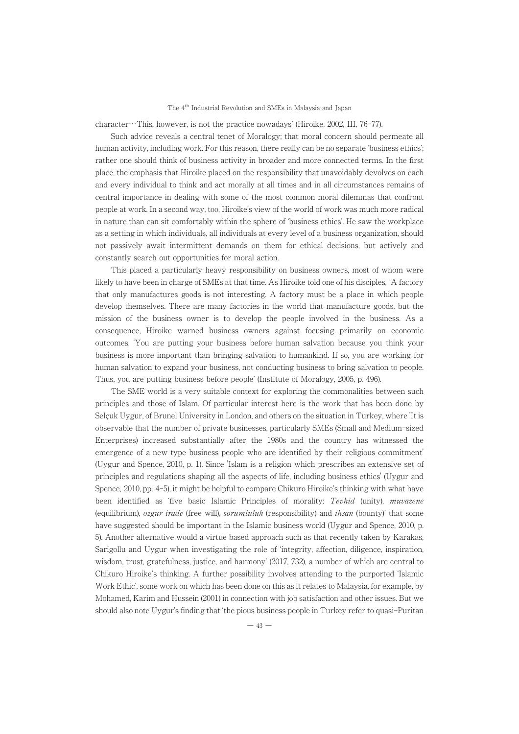$\text{character}\cdots\text{This, however, is not the practice nowadays' (Hiroike, 2002, III, 76-77).}$ 

acter Tims, nowever, is not the practice nowadays (informe, 2002, iii, 70–77).<br>Such advice reveals a central tenet of Moralogy; that moral concern should permeate all human activity, including work. For this reason, there really can be no separate ʻbusiness ethics'; rather one should think of business activity in broader and more connected terms. In the first place, the emphasis that Hiroike placed on the responsibility that unavoidably devolves on each and every individual to think and act morally at all times and in all circumstances remains of central importance in dealing with some of the most common moral dilemmas that confront people at work. In a second way, too, Hiroike's view of the world of work was much more radical in nature than can sit comfortably within the sphere of ʻbusiness ethics'. He saw the workplace as a setting in which individuals, all individuals at every level of a business organization, should as a setting in which individuals, an individuals at every level of a business organization, should<br>not passively await intermittent demands on them for ethical decisions, but actively and constantly search out opportunities for moral action.

relative search out opportunities for moral action.<br>This placed a particularly heavy responsibility on business owners, most of whom were likely to have been in charge of SMEs at that time. As Hiroike told one of his disciples, ʻA factory Intery to have been in charge of SMEs at that thrie. As fin one too dole of instance presents, A factory that only manufactures goods is not interesting. A factory must be a place in which people develop themselves. There are many factories in the world that manufacture goods, but the<br>develop themselves. There are many factories in the world that manufacture goods, but the mission of the business owner is to develop the people involved in the business. As a consequence, Hiroike warned business owners against focusing primarily on economic outcomes. ʻYou are putting your business before human salvation because you think your business is more important than bringing salvation to humankind. If so, you are working for human salvation to expand your business, not conducting business to bring salvation to people. Thus, you are putting business before people' (Institute of Moralogy, 2005, p. 496).

s, you are putting business before people (institute of Moralogy, 2005, p. 450).<br>The SME world is a very suitable context for exploring the commonalities between such principles and those of Islam. Of particular interest here is the work that has been done by Selçuk Uygur, of Brunel University in London, and others on the situation in Turkey, where 'It is observable that the number of private businesses, particularly SMEs (Small and Medium-sized Enterprises) increased substantially after the 1980s and the country has witnessed the emergence of a new type business people who are identified by their religious commitment' (Uygur and Spence, 2010, p. 1). Since 'Islam is a religion which prescribes an extensive set of principles and regulations shaping all the aspects of life, including business ethics' (Uygur and Spence, 2010, pp. 4-5), it might be helpful to compare Chikuro Hiroike's thinking with what have been identified as 'five basic Islamic Principles of morality: *Tevhid* (unity), *muvazene*<br>been identified as 'five basic Islamic Principles of morality: *Tevhid* (unity), *muvazene* (equilibrium), ozgur irade (free will), sorumluluk (responsibility) and ihsan (bounty)' that some equinorium, *ozgar trade* (if ee win), *sortimatiak* (responsionity) and *insun* (bounty) that some<br>have suggested should be important in the Islamic business world (Uygur and Spence, 2010, p. 5). Another alternative would a virtue based approach such as that recently taken by Karakas, Sarigollu and Uygur when investigating the role of ʻintegrity, affection, diligence, inspiration, wisdom, trust, gratefulness, justice, and harmony' (2017, 732), a number of which are central to wisdom, trust, graterumess, justice, and narmony (2017, 102), a number of which are central to<br>Chikuro Hiroike's thinking. A further possibility involves attending to the purported 'Islamic Work Ethic', some work on which has been done on this as it relates to Malaysia, for example, by Mohamed, Karim and Hussein (2001) in connection with job satisfaction and other issues. But we should also note Uygur's finding that ʻthe pious business people in Turkey refer to quasi-Puritan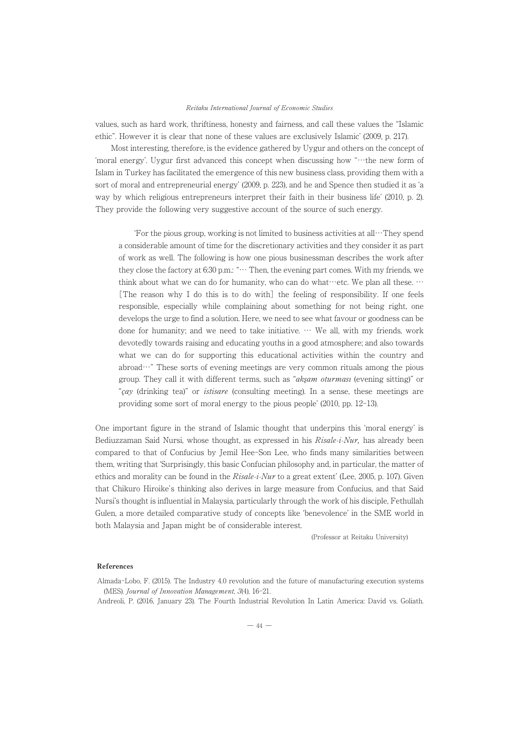values, such as hard work, thriftiness, honesty and fairness, and call these values the "Islamic ethic". However it is clear that none of these values are exclusively Islamic' (2009, p. 217).

Most interesting, therefore, is the evidence gathered by Uygur and others on the concept of ʻmoral energy'. Uygur first advanced this concept when discussing how ʻʻ…the new form of Islam in Turkey has facilitated the emergence of this new business class, providing them with a sort of moral and entrepreneurial energy' (2009, p. 223), and he and Spence then studied it as ʻa sort of moral and entrepreneurial energy (2009, p. 229), and he and spence their studied it as a<br>way by which religious entrepreneurs interpret their faith in their business life' (2010, p. 2). way by which rengious entrepreneurs interpret their faith in their business me<br>They provide the following very suggestive account of the source of such energy.

ʻFor the pious group, working is not limited to business activities at all…They spend a considerable amount of time for the discretionary activities and they consider it as part of work as well. The following is how one pious businessman describes the work after they close the factory at 6:30 p.m.: "… Then, the evening part comes. With my friends, we they close the factory at 6:30 p.m.: "… Then, the evening part comes. With my friends, we they close the ractory at 0.50 p.m... Then, the evening part comes. With my friends, we<br>think about what we can do for humanity, who can do what…etc. We plan all these. … [The reason why I do this is to do with] the feeling of responsibility. If one feels responsible, especially while complaining about something for not being right, one develops the urge to find a solution. Here, we need to see what favour or goodness can be done for humanity; and we need to take initiative. … We all, with my friends, work devotedly towards raising and educating youths in a good atmosphere; and also towards what we can do for supporting this educational activities within the country and what we can do for supporting this educational activities within the country and<br>abroad…" These sorts of evening meetings are very common rituals among the pious abroad These sorts of evening ineetings are very common fitudes among the plous group. They call it with different terms, such as *"akşam oturması* (evening sitting)" or çay (drinking tea)" or istisare (consulting meeting). In a sense, these meetings are *Lay* (drinking tea) or *susare* (consulting meeting). In a sense, these is

One important figure in the strand of Islamic thought that underpins this ʻmoral energy' is one important ngure in the strand or islamic thought that underpins this moral energy is<br>Bediuzzaman Said Nursi, whose thought, as expressed in his *Risale-i-Nur*, has already been compared to that of Confucius by Jemil Hee-Son Lee, who finds many similarities between them, writing that ʻSurprisingly, this basic Confucian philosophy and, in particular, the matter of them, writing that Surprisingly, this basic confucial philosophy and, in particular, the matter of ethics and morality can be found in the  $Risale\text{-}iNur$  to a great extent' (Lee, 2005, p. 107). Given that Chikuro Hiroike's thinking also derives in large measure from Confucius, and that Said Nursi's thought is influential in Malaysia, particularly through the work of his disciple, Fethullah Gulen, a more detailed comparative study of concepts like ʻbenevolence' in the SME world in both Malaysia and Japan might be of considerable interest.

(Professor at Reitaku University)

#### References

Almada-Lobo, F. (2015). The Industry 4.0 revolution and the future of manufacturing execution systems (MES). Journal of Innovation Management, 3(4), 16-21.

(INES). *Journal of Innovation Management*, 3(4), 10–21.<br>Andreoli, P. (2016, January 23). The Fourth Industrial Revolution In Latin America: David vs. Goliath.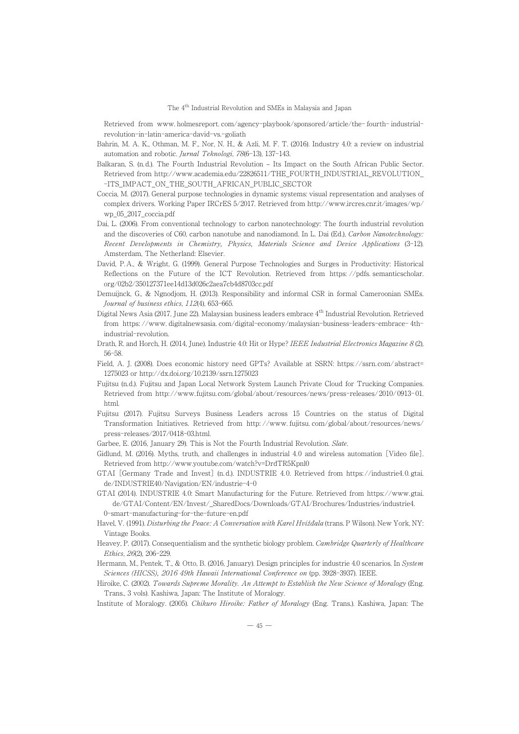Retrieved from www.holmesreport.com/agency-playbook/sponsored/article/the-fourth-industrial-

- Bahrin, M. A. K., Othman, M. F., Nor, N. H., & Azli, M. F. T. (2016). Industry 4.0: a review on industrial automation and robotic. Jurnal Teknologi, 78(6-13), 137-143.<br>automation and robotic. *Jurnal Teknologi*, 78(6-13), 137-143.
- automation and robouc. *Jurnal Teknologi, 1*0(0–15), 157–145.<br>Balkaran, S. (n.d.). The Fourth Industrial Revolution Its Impact on the South African Public Sector. ukaran, S. (n.d.). The Fourth muustrial Revolution – Its Impact on the South African Fublic Sector.<br>Retrieved from http://www.academia.edu/22826511/THE\_FOURTH\_INDUSTRIAL\_REVOLUTION\_ -ITS\_IMPACT\_ON\_THE\_SOUTH\_AFRICAN\_PUBLIC\_SECTOR
- Coccia, M. (2017). General purpose technologies in dynamic systems: visual representation and analyses of occia, M. (2017). General purpose technologies in dynamic systems: visual representation and analyses of complex drivers. Working Paper IRCrES 5/2017. Retrieved from http://www.ircres.cnr.it/images/wp/ wp\_05\_2017\_coccia.pdf
- wp\_05\_z017\_coccia.pui<br>Dai, L. (2006). From conventional technology to carbon nanotechnology: The fourth industrial revolution at, L. (2000). From conventional technology to carbon nanotechnology: The fourth moustrial revolution<br>and the discoveries of C60, carbon nanotube and nanodiamond. In L. Dai (Ed.), Carbon Nanotechnology: Recent Developments in Chemistry, Physics, Materials Science and Device Applications (3-12). *Recent Developments in Chemistry,*<br>Amsterdam, The Netherland: Elsevier.
- David, P.A., & Wright, G. (1999). General Purpose Technologies and Surges in Productivity: Historical Avia, P.A., & Wright, G. (1999). General Purpose Technologies and Surges in Productivity: Historical Reflections on the Future of the ICT Revolution. Retrieved from https://pdfs.semanticscholar. org/02b2/350127371ee14d13d026c2aea7cb4d8703cc.pdf
- Demuijnck, G., & Ngnodjom, H. (2013). Responsibility and informal CSR in formal Cameroonian SMEs. Journal of business ethics, <sup>112</sup>(4), 653-665.
- *Journal of ousiness eintcs, 112*(4), 655–665.<br>Digital News Asia (2017, June 22). Malaysian business leaders embrace 4<sup>th</sup> Industrial Revolution. Retrieved gital News Asia (2017, June 22). Malaysian business leaders embrace 4 maustrial Revolution. Retrieved from https://www. digitalnewsasia.com/digital-economy/malaysian-business-leaders-embrace- 4th-
- ndustriai–revolution.<br>Drath, R. and Horch, H. (2014, June). Industrie 4.0: Hit or Hype? *IEEE Industrial Electronics Magazine 8* (2),
- Field, A. J. (2008). Does economic history need GPTs? Available at SSRN: https: //ssrn.com/ abstract= 1275023 or http://dx.doi.org/10.2139/ssrn.1275023
- Fujitsu (n.d.). Fujitsu and Japan Local Network System Launch Private Cloud for Trucking Companies. gitsu (n.a.). Fujitsu and Japan Local Network System Launch Private Cloud for Trucking Companies.<br>Retrieved from http://www.fujitsu.com/global/about/resources/news/press-releases/2010/0913-01.
- Fujitsu (2017). Fujitsu Surveys Business Leaders across 15 Countries on the status of Digital filisu (2017). Fujitsu Surveys Business Leaders across 15 Countries on the status of Digital<br>Transformation Initiatives. Retrieved from http://www.fujitsu.com/global/about/resources/news/ press-releases/2017/0418-03.html.
- press-releases/2017/0418-05.num.<br>Garbee, E. (2016, January 29). This is Not the Fourth Industrial Revolution. Slate.
- Garbee, E. (2016, January 29). This is not the rourth moustrial revolution. S*tate.*<br>Gidlund, M. (2016). Myths, truth, and challenges in industrial 4.0 and wireless automation [Video file]. aiuna, w. (2016). wiyins, trutn, and cnallenges in industrial 4.0 al<br>Retrieved from http://www.youtube.com/watch?v=DrdTR5Kpnl0
- Retrieved from http://www.youtube.com/watch?v=Drd FRSKphio<br>GTAI [Germany Trade and Invest] (n.d.). INDUSTRIE 4.0. Retrieved from https://industrie4.0.gtai. de/INDUSTRIE40/Navigation/EN/industrie-4-0
- de/INDUSTRIE40/Navigation/EN/industrie-4-0<br>GTAI (2014). INDUSTRIE 4.0: Smart Manufacturing for the Future. Retrieved from https://www.gtai. de/GTAL/Content/EN/Invest/\_SharedDocs/Downloads/GTAL/Drochures/Industries/Industrie4. 0-smart-manufacturing-for-the-future-en.pdf
- U-smart-manuiacturing-ior-the-luture-en.pdi<br>Havel, V. (1991)*. Disturbing the Peace: A Conversation with Karel Hvížđala* (trans. P Wilson). New York, NY: avei, v. (1991).*L*<br>Vintage Books.
- v intage books.<br>Heavey, P. (2017). Consequentialism and the synthetic biology problem. *Cambridge Quarterly of Healthcare* Ethics, <sup>26</sup>(2), 206-229.
- Hermann, M., Pentek, T., & Otto, B. (2016, January). Design principles for industrie 4.0 scenarios. In System Sciences (HICSS), 2016 49th Hawaii International Conference on (pp. 3928-3937). IEEE.
- Sciences (HICSS), 2010 49th Hawaii International Conference on (pp. 3928–3931). IEEE.<br>Hiroike, C. (2002). *Towards Supreme Morality. An Attempt to Establish the New Science of Moralogy* (Eng. roike, C. (2002). *1 owards Supreme Moratity. An Attempt to*<br>Trans., 3 vols). Kashiwa, Japan: The Institute of Moralogy.
- Institute of Moralogy. (2005). *Chikuro Hiroike: Father of Moralogy* (Eng. Trans.). Kashiwa, Japan: The Institute of Moralogy. (2005). *Chikuro Hiroike: Father of Moralogy* (Eng. Trans.). Kashiwa, Japan: The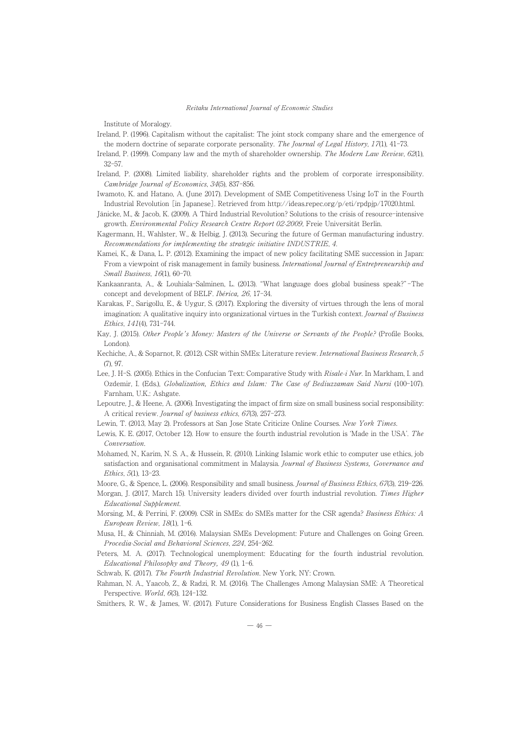Institute of Moralogy.

- Ireland, P. (1996). Capitalism without the capitalist: The joint stock company share and the emergence of erand, P. (1990). Capitalism without the capitalist: The Joint stock company share and the emergent<br>the modern doctrine of separate corporate personality. The Journal of Legal History, 17(1), 41-73.
- Ireland, P. (1999). Company law and the myth of shareholder ownership. *The Modern Law Review*, 62(1), Treland, P. (1999). Company law and the myth of shareholder ownership. *The Modern Law Review*, 62(1),  $32 - 57$
- Ireland, P. (2008). Limited liability, shareholder rights and the problem of corporate irresponsibility. Cambridge Journal of Economics, <sup>34</sup>(5), 837-856.
- Camoriage journal of Economics, 34(5), 651–656.<br>Iwamoto, K. and Hatano, A. (June 2017). Development of SME Competitiveness Using IoT in the Fourth Industrial Revolution [in Japanese]. Retrieved from http://ideas.repec.org/p/eti/rpdpjp/17020.html.
- Industrial Revolution [In Japanese]. Retrieved from http://ideas.repec.org/p/eu/rpdpjp/17020.html.<br>Jänicke, M., & Jacob, K. (2009). A Third Industrial Revolution? Solutions to the crisis of resource-intensive growth. Environmental Policy Research Centre Report 02-2009, Freie Universität Berlin.
- growth. *Environmental Pottcy Research Centre Report 02-2009*, Freie Universitat Berlin.<br>Kagermann, H., Wahlster, W., & Helbig, J. (2013). Securing the future of German manufacturing industry. Recommendations for implementing the strategic initiative INDUSTRIE, <sup>4</sup>.
- Kecommenaations for implementing the strategic initiative INDOSTRIE, 4.<br>Kamei, K., & Dana, L. P. (2012). Examining the impact of new policy facilitating SME succession in Japan: amer, K., & Dana, L. P. (2012). Examining the impact of new policy facilitating SME succession in Japan:<br>From a viewpoint of risk management in family business. *International Journal of Entrepreneurship and* Small Business, <sup>16</sup>(1), 60-70.
- S*mau Business, 10*(1), 60–70.<br>Kankaanranta, A., & Louhiala-Salminen, L. (2013). "What language does global business speak?"-The ankaanranta, A., & Loumaia-Saimmen, L. (2015). Wr<br>concept and development of BELF. *Ibérica, 26*, 17-34.
- concept and development of BELF. *Ioerica*, 20, 17-34.<br>Karakas, F., Sarigollu, E., & Uygur, S. (2017). Exploring the diversity of virtues through the lens of moral irakas, r., Sangoliu, E., & Uygur, S. (2017). Exploring the diversity of virtues through the lens of moral<br>imagination: A qualitative inquiry into organizational virtues in the Turkish context. *Journal of Business* Ethics, <sup>141</sup>(4), 731-744.
- Einics, 141(4), 151–144.<br>Kay, J. (2015). Other People's Money: Masters of the Universe or Servants of the People? (Profile Books, London).
- London).<br>Kechiche, A., & Soparnot, R. (2012). CSR within SMEs: Literature review*. International Business Research, 5* (7), 97.
- در), s*i.*<br>Lee, J. H-S. (2005). Ethics in the Confucian Text: Comparative Study with *Risale-i Nur*. In Markham, I. and e, J. H-S. (2005). Ethics in the Confluction Text: Comparative Study with *Kisale-I Nur.* In Markham, I. and<br>Ozdemir, I. (Eds.), *Globalization, Ethics and Islam: The Case of Bediuzzaman Said Nursi* (100–107). Farnham, U.K.: Ashgate.
- Lepoutre, J., & Heene, A. (2006). Investigating the impact of firm size on small business social responsibility: poutre, j., & rieene, A. (2006). Investigating the impact of first.<br>A critical review. *Journal of business ethics, 67*(3), 257-273.
- A critical review. *Journal of ousiness eintes, 07(5), 231-215.*<br>Lewin, T. (2013, May 2). Professors at San Jose State Criticize Online Courses. *New York Times*.
- Lewin, 1. (2015, May 2). Proiessors at San Jose State Criticize Online Courses. *New York Times.*<br>Lewis, K. E. (2017, October 12). How to ensure the fourth industrial revolution is 'Made in the USA'. *The* Conversation.
- Mohamed, N., Karim, N. S. A., & Hussein, R. (2010). Linking Islamic work ethic to computer use ethics, job onamed, iv., Kariin, iv. S. A., & Hussein, K. (2010). Linking islamic work ethic to computer use ethics, job<br>satisfaction and organisational commitment in Malaysia. *Journal of Business Systems, Governance and* Ethics, <sup>5</sup>(1), 13-23.
- *Etnics, э*(1), 15–25.<br>Moore, G., & Spence, L. (2006). Responsibility and small business. *Journal of Business Ethics*, 67(3), 219–226.
- Moore, G., & Spence, L. (2006). Responsionity and sinall business. *Journal of Business Ethics*, 67(5), 219–226.<br>Morgan, J. (2017, March 15). University leaders divided over fourth industrial revolution. *Times Higher* Educational Supplement.
- Morsing, M., & Perrini, F. (2009). CSR in SMEs: do SMEs matter for the CSR agenda? Business Ethics: A European Review, <sup>18</sup>(1), 1-6.
- n European Review, 18(1), 1-6.<br>Musa, H., & Chinniah, M. (2016). Malaysian SMEs Development: Future and Challenges on Going Green. Procedia-Social and Behavioral Sciences, <sup>224</sup>, 254-262.
- Peters, M. A. (2017). Technological unemployment: Educating for the fourth industrial revolution. Educational Philosophyand Theory, 49 (1), 1-6.
- Schwab, K. (2017). The Fourth Industrial Revolution. New York, NY: Crown.
- Schwab, K. (2017). *I ne Fourin maustrial Revolution*. New York, NY: Crown.<br>Rahman, N. A., Yaacob, Z., & Radzi, R. M. (2016). The Challenges Among Malaysian SME: A Theoretical Perspective. World, 6(3), 124-132.
- rerspecuve. *worta, 0*(5), 124-152.<br>Smithers, R. W., & James, W. (2017). Future Considerations for Business English Classes Based on the